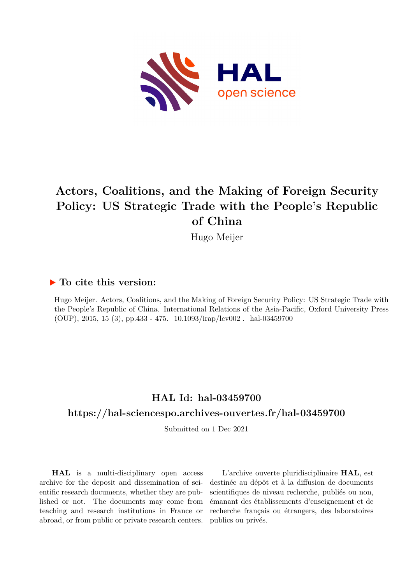

# **Actors, Coalitions, and the Making of Foreign Security Policy: US Strategic Trade with the People's Republic of China**

Hugo Meijer

# **To cite this version:**

Hugo Meijer. Actors, Coalitions, and the Making of Foreign Security Policy: US Strategic Trade with the People's Republic of China. International Relations of the Asia-Pacific, Oxford University Press (OUP), 2015, 15 (3), pp.433 - 475.  $10.1093/$ irap/lcv002. hal-03459700

# **HAL Id: hal-03459700**

# **<https://hal-sciencespo.archives-ouvertes.fr/hal-03459700>**

Submitted on 1 Dec 2021

**HAL** is a multi-disciplinary open access archive for the deposit and dissemination of scientific research documents, whether they are published or not. The documents may come from teaching and research institutions in France or abroad, or from public or private research centers.

L'archive ouverte pluridisciplinaire **HAL**, est destinée au dépôt et à la diffusion de documents scientifiques de niveau recherche, publiés ou non, émanant des établissements d'enseignement et de recherche français ou étrangers, des laboratoires publics ou privés.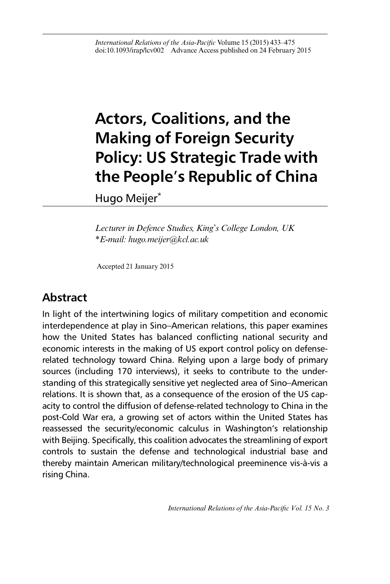# Actors, Coalitions, and the Making of Foreign Security Policy: US Strategic Trade with the People's Republic of China

Hugo Meijer\*

Lecturer in Defence Studies, King's College London, UK \*E-mail: hugo.meijer@kcl.ac.uk

Accepted 21 January 2015

# Abstract

In light of the intertwining logics of military competition and economic interdependence at play in Sino–American relations, this paper examines how the United States has balanced conflicting national security and economic interests in the making of US export control policy on defenserelated technology toward China. Relying upon a large body of primary sources (including 170 interviews), it seeks to contribute to the understanding of this strategically sensitive yet neglected area of Sino–American relations. It is shown that, as a consequence of the erosion of the US capacity to control the diffusion of defense-related technology to China in the post-Cold War era, a growing set of actors within the United States has reassessed the security/economic calculus in Washington's relationship with Beijing. Specifically, this coalition advocates the streamlining of export controls to sustain the defense and technological industrial base and thereby maintain American military/technological preeminence vis-à-vis a rising China.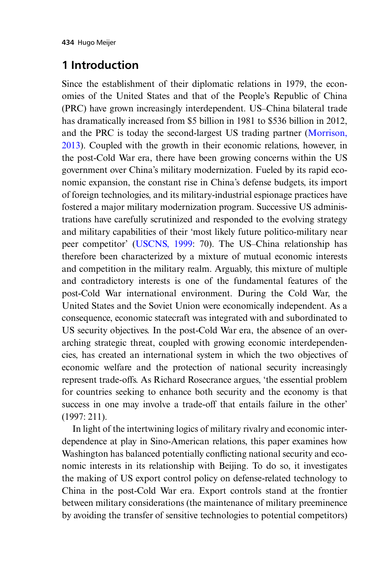# 1 Introduction

Since the establishment of their diplomatic relations in 1979, the economies of the United States and that of the People's Republic of China (PRC) have grown increasingly interdependent. US–China bilateral trade has dramatically increased from \$5 billion in 1981 to \$536 billion in 2012, and the PRC is today the second-largest US trading partner (Morrison, 2013). Coupled with the growth in their economic relations, however, in the post-Cold War era, there have been growing concerns within the US government over China's military modernization. Fueled by its rapid economic expansion, the constant rise in China's defense budgets, its import of foreign technologies, and its military-industrial espionage practices have fostered a major military modernization program. Successive US administrations have carefully scrutinized and responded to the evolving strategy and military capabilities of their 'most likely future politico-military near peer competitor' (USCNS, 1999: 70). The US–China relationship has therefore been characterized by a mixture of mutual economic interests and competition in the military realm. Arguably, this mixture of multiple and contradictory interests is one of the fundamental features of the post-Cold War international environment. During the Cold War, the United States and the Soviet Union were economically independent. As a consequence, economic statecraft was integrated with and subordinated to US security objectives. In the post-Cold War era, the absence of an overarching strategic threat, coupled with growing economic interdependencies, has created an international system in which the two objectives of economic welfare and the protection of national security increasingly represent trade-offs. As Richard Rosecrance argues, 'the essential problem for countries seeking to enhance both security and the economy is that success in one may involve a trade-off that entails failure in the other' (1997: 211).

In light of the intertwining logics of military rivalry and economic interdependence at play in Sino-American relations, this paper examines how Washington has balanced potentially conflicting national security and economic interests in its relationship with Beijing. To do so, it investigates the making of US export control policy on defense-related technology to China in the post-Cold War era. Export controls stand at the frontier between military considerations (the maintenance of military preeminence by avoiding the transfer of sensitive technologies to potential competitors)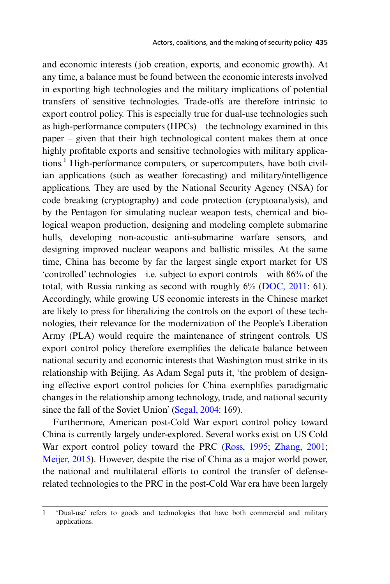and economic interests (job creation, exports, and economic growth). At any time, a balance must be found between the economic interests involved in exporting high technologies and the military implications of potential transfers of sensitive technologies. Trade-offs are therefore intrinsic to export control policy. This is especially true for dual-use technologies such as high-performance computers (HPCs) – the technology examined in this paper – given that their high technological content makes them at once highly profitable exports and sensitive technologies with military applications.1 High-performance computers, or supercomputers, have both civilian applications (such as weather forecasting) and military/intelligence applications. They are used by the National Security Agency (NSA) for code breaking (cryptography) and code protection (cryptoanalysis), and by the Pentagon for simulating nuclear weapon tests, chemical and biological weapon production, designing and modeling complete submarine hulls, developing non-acoustic anti-submarine warfare sensors, and designing improved nuclear weapons and ballistic missiles. At the same time, China has become by far the largest single export market for US 'controlled' technologies – i.e. subject to export controls – with 86% of the total, with Russia ranking as second with roughly 6% (DOC, 2011: 61). Accordingly, while growing US economic interests in the Chinese market are likely to press for liberalizing the controls on the export of these technologies, their relevance for the modernization of the People's Liberation Army (PLA) would require the maintenance of stringent controls. US export control policy therefore exemplifies the delicate balance between national security and economic interests that Washington must strike in its relationship with Beijing. As Adam Segal puts it, 'the problem of designing effective export control policies for China exemplifies paradigmatic changes in the relationship among technology, trade, and national security since the fall of the Soviet Union' (Segal, 2004: 169).

Furthermore, American post-Cold War export control policy toward China is currently largely under-explored. Several works exist on US Cold War export control policy toward the PRC (Ross, 1995; Zhang, 2001; Meijer, 2015). However, despite the rise of China as a major world power, the national and multilateral efforts to control the transfer of defenserelated technologies to the PRC in the post-Cold War era have been largely

<sup>1</sup> 'Dual-use' refers to goods and technologies that have both commercial and military applications.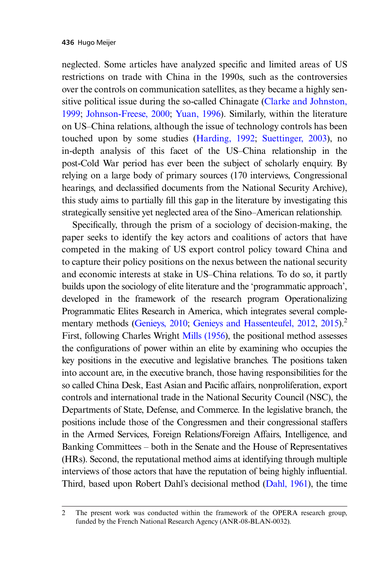neglected. Some articles have analyzed specific and limited areas of US restrictions on trade with China in the 1990s, such as the controversies over the controls on communication satellites, as they became a highly sensitive political issue during the so-called Chinagate (Clarke and Johnston, 1999; Johnson-Freese, 2000; Yuan, 1996). Similarly, within the literature on US–China relations, although the issue of technology controls has been touched upon by some studies (Harding, 1992; Suettinger, 2003), no in-depth analysis of this facet of the US–China relationship in the post-Cold War period has ever been the subject of scholarly enquiry. By relying on a large body of primary sources (170 interviews, Congressional hearings, and declassified documents from the National Security Archive), this study aims to partially fill this gap in the literature by investigating this strategically sensitive yet neglected area of the Sino–American relationship.

Specifically, through the prism of a sociology of decision-making, the paper seeks to identify the key actors and coalitions of actors that have competed in the making of US export control policy toward China and to capture their policy positions on the nexus between the national security and economic interests at stake in US–China relations. To do so, it partly builds upon the sociology of elite literature and the 'programmatic approach', developed in the framework of the research program Operationalizing Programmatic Elites Research in America, which integrates several complementary methods (Genieys, 2010; Genieys and Hassenteufel, 2012, 2015).<sup>2</sup> First, following Charles Wright Mills (1956), the positional method assesses the configurations of power within an elite by examining who occupies the key positions in the executive and legislative branches. The positions taken into account are, in the executive branch, those having responsibilities for the so called China Desk, East Asian and Pacific affairs, nonproliferation, export controls and international trade in the National Security Council (NSC), the Departments of State, Defense, and Commerce. In the legislative branch, the positions include those of the Congressmen and their congressional staffers in the Armed Services, Foreign Relations/Foreign Affairs, Intelligence, and Banking Committees – both in the Senate and the House of Representatives (HRs). Second, the reputational method aims at identifying through multiple interviews of those actors that have the reputation of being highly influential. Third, based upon Robert Dahl's decisional method (Dahl, 1961), the time

<sup>2</sup> The present work was conducted within the framework of the OPERA research group, funded by the French National Research Agency (ANR-08-BLAN-0032).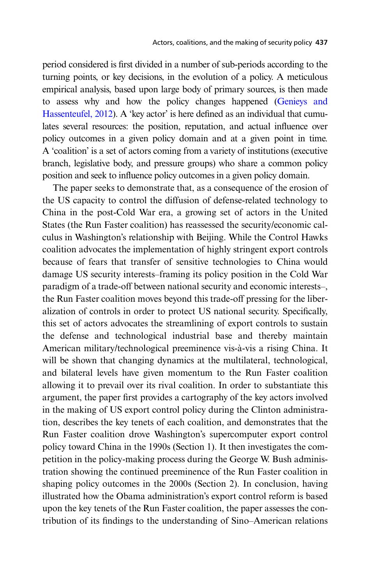period considered is first divided in a number of sub-periods according to the turning points, or key decisions, in the evolution of a policy. A meticulous empirical analysis, based upon large body of primary sources, is then made to assess why and how the policy changes happened (Genieys and Hassenteufel, 2012). A 'key actor' is here defined as an individual that cumulates several resources: the position, reputation, and actual influence over policy outcomes in a given policy domain and at a given point in time. A 'coalition' is a set of actors coming from a variety of institutions (executive branch, legislative body, and pressure groups) who share a common policy position and seek to influence policy outcomes in a given policy domain.

The paper seeks to demonstrate that, as a consequence of the erosion of the US capacity to control the diffusion of defense-related technology to China in the post-Cold War era, a growing set of actors in the United States (the Run Faster coalition) has reassessed the security/economic calculus in Washington's relationship with Beijing. While the Control Hawks coalition advocates the implementation of highly stringent export controls because of fears that transfer of sensitive technologies to China would damage US security interests–framing its policy position in the Cold War paradigm of a trade-off between national security and economic interests–, the Run Faster coalition moves beyond this trade-off pressing for the liberalization of controls in order to protect US national security. Specifically, this set of actors advocates the streamlining of export controls to sustain the defense and technological industrial base and thereby maintain American military/technological preeminence vis-à-vis a rising China. It will be shown that changing dynamics at the multilateral, technological, and bilateral levels have given momentum to the Run Faster coalition allowing it to prevail over its rival coalition. In order to substantiate this argument, the paper first provides a cartography of the key actors involved in the making of US export control policy during the Clinton administration, describes the key tenets of each coalition, and demonstrates that the Run Faster coalition drove Washington's supercomputer export control policy toward China in the 1990s (Section 1). It then investigates the competition in the policy-making process during the George W. Bush administration showing the continued preeminence of the Run Faster coalition in shaping policy outcomes in the 2000s (Section 2). In conclusion, having illustrated how the Obama administration's export control reform is based upon the key tenets of the Run Faster coalition, the paper assesses the contribution of its findings to the understanding of Sino–American relations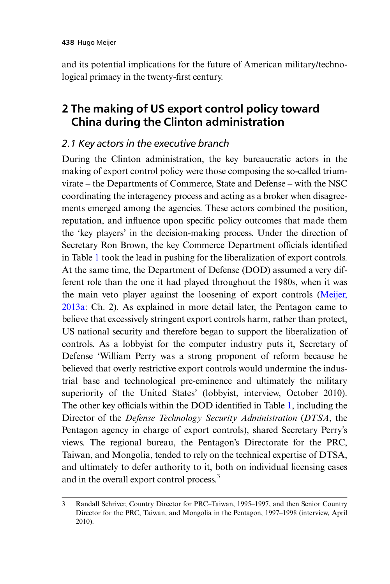and its potential implications for the future of American military/technological primacy in the twenty-first century.

# 2 The making of US export control policy toward China during the Clinton administration

# 2.1 Key actors in the executive branch

During the Clinton administration, the key bureaucratic actors in the making of export control policy were those composing the so-called triumvirate – the Departments of Commerce, State and Defense – with the NSC coordinating the interagency process and acting as a broker when disagreements emerged among the agencies. These actors combined the position, reputation, and influence upon specific policy outcomes that made them the 'key players' in the decision-making process. Under the direction of Secretary Ron Brown, the key Commerce Department officials identified in Table 1 took the lead in pushing for the liberalization of export controls. At the same time, the Department of Defense (DOD) assumed a very different role than the one it had played throughout the 1980s, when it was the main veto player against the loosening of export controls (Meijer, 2013a: Ch. 2). As explained in more detail later, the Pentagon came to believe that excessively stringent export controls harm, rather than protect, US national security and therefore began to support the liberalization of controls. As a lobbyist for the computer industry puts it, Secretary of Defense 'William Perry was a strong proponent of reform because he believed that overly restrictive export controls would undermine the industrial base and technological pre-eminence and ultimately the military superiority of the United States' (lobbyist, interview, October 2010). The other key officials within the DOD identified in Table 1, including the Director of the Defense Technology Security Administration (DTSA, the Pentagon agency in charge of export controls), shared Secretary Perry's views. The regional bureau, the Pentagon's Directorate for the PRC, Taiwan, and Mongolia, tended to rely on the technical expertise of DTSA, and ultimately to defer authority to it, both on individual licensing cases and in the overall export control process.<sup>3</sup>

<sup>3</sup> Randall Schriver, Country Director for PRC–Taiwan, 1995–1997, and then Senior Country Director for the PRC, Taiwan, and Mongolia in the Pentagon, 1997–1998 (interview, April 2010).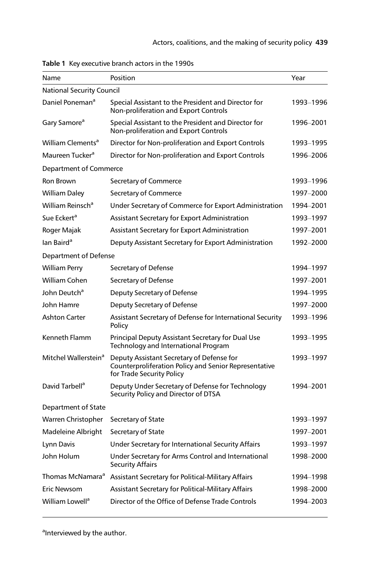| Name                             | Position                                                                                                                        | Year      |
|----------------------------------|---------------------------------------------------------------------------------------------------------------------------------|-----------|
| <b>National Security Council</b> |                                                                                                                                 |           |
| Daniel Poneman <sup>a</sup>      | Special Assistant to the President and Director for<br>Non-proliferation and Export Controls                                    | 1993-1996 |
| Gary Samore <sup>a</sup>         | Special Assistant to the President and Director for<br>Non-proliferation and Export Controls                                    | 1996-2001 |
| William Clements <sup>a</sup>    | Director for Non-proliferation and Export Controls                                                                              | 1993–1995 |
| Maureen Tucker <sup>a</sup>      | Director for Non-proliferation and Export Controls                                                                              | 1996-2006 |
| Department of Commerce           |                                                                                                                                 |           |
| Ron Brown                        | Secretary of Commerce                                                                                                           | 1993-1996 |
| William Daley                    | Secretary of Commerce                                                                                                           | 1997-2000 |
| William Reinsch <sup>a</sup>     | Under Secretary of Commerce for Export Administration                                                                           | 1994-2001 |
| Sue Eckert <sup>a</sup>          | Assistant Secretary for Export Administration                                                                                   | 1993-1997 |
| Roger Majak                      | Assistant Secretary for Export Administration                                                                                   | 1997–2001 |
| lan Baird <sup>a</sup>           | Deputy Assistant Secretary for Export Administration                                                                            | 1992-2000 |
| Department of Defense            |                                                                                                                                 |           |
| William Perry                    | Secretary of Defense                                                                                                            | 1994–1997 |
| <b>William Cohen</b>             | Secretary of Defense                                                                                                            | 1997-2001 |
| John Deutch <sup>a</sup>         | Deputy Secretary of Defense                                                                                                     | 1994-1995 |
| John Hamre                       | Deputy Secretary of Defense                                                                                                     | 1997-2000 |
| <b>Ashton Carter</b>             | Assistant Secretary of Defense for International Security<br>Policy                                                             | 1993-1996 |
| Kenneth Flamm                    | Principal Deputy Assistant Secretary for Dual Use<br>Technology and International Program                                       | 1993–1995 |
| Mitchel Wallerstein <sup>a</sup> | Deputy Assistant Secretary of Defense for<br>Counterproliferation Policy and Senior Representative<br>for Trade Security Policy | 1993–1997 |
| David Tarbell <sup>a</sup>       | Deputy Under Secretary of Defense for Technology<br>Security Policy and Director of DTSA                                        | 1994-2001 |
| Department of State              |                                                                                                                                 |           |
| Warren Christopher               | Secretary of State                                                                                                              | 1993-1997 |
| Madeleine Albright               | Secretary of State                                                                                                              | 1997-2001 |
| Lynn Davis                       | Under Secretary for International Security Affairs                                                                              | 1993-1997 |
| John Holum                       | Under Secretary for Arms Control and International<br><b>Security Affairs</b>                                                   | 1998-2000 |
| Thomas McNamara <sup>a</sup>     | Assistant Secretary for Political-Military Affairs                                                                              | 1994–1998 |
| Eric Newsom                      | Assistant Secretary for Political-Military Affairs                                                                              | 1998-2000 |
| William Lowell <sup>a</sup>      | Director of the Office of Defense Trade Controls                                                                                | 1994-2003 |

Table 1 Key executive branch actors in the 1990s

<sup>a</sup>Interviewed by the author.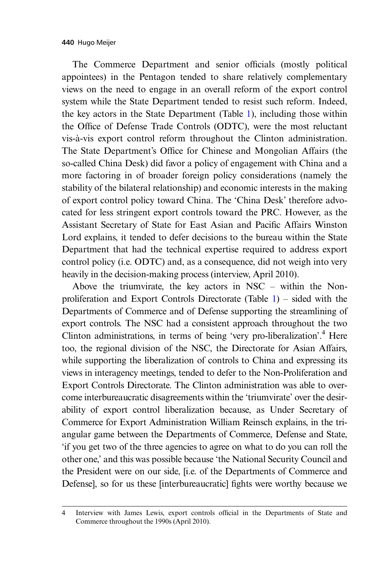The Commerce Department and senior officials (mostly political appointees) in the Pentagon tended to share relatively complementary views on the need to engage in an overall reform of the export control system while the State Department tended to resist such reform. Indeed, the key actors in the State Department (Table 1), including those within the Office of Defense Trade Controls (ODTC), were the most reluctant vis-à-vis export control reform throughout the Clinton administration. The State Department's Office for Chinese and Mongolian Affairs (the so-called China Desk) did favor a policy of engagement with China and a more factoring in of broader foreign policy considerations (namely the stability of the bilateral relationship) and economic interests in the making of export control policy toward China. The 'China Desk' therefore advocated for less stringent export controls toward the PRC. However, as the Assistant Secretary of State for East Asian and Pacific Affairs Winston Lord explains, it tended to defer decisions to the bureau within the State Department that had the technical expertise required to address export control policy (i.e. ODTC) and, as a consequence, did not weigh into very heavily in the decision-making process (interview, April 2010).

Above the triumvirate, the key actors in NSC – within the Nonproliferation and Export Controls Directorate (Table  $1$ ) – sided with the Departments of Commerce and of Defense supporting the streamlining of export controls. The NSC had a consistent approach throughout the two Clinton administrations, in terms of being 'very pro-liberalization'. <sup>4</sup> Here too, the regional division of the NSC, the Directorate for Asian Affairs, while supporting the liberalization of controls to China and expressing its views in interagency meetings, tended to defer to the Non-Proliferation and Export Controls Directorate. The Clinton administration was able to overcome interbureaucratic disagreements within the 'triumvirate' over the desirability of export control liberalization because, as Under Secretary of Commerce for Export Administration William Reinsch explains, in the triangular game between the Departments of Commerce, Defense and State, 'if you get two of the three agencies to agree on what to do you can roll the other one,' and this was possible because 'the National Security Council and the President were on our side, [i.e. of the Departments of Commerce and Defense], so for us these [interbureaucratic] fights were worthy because we

<sup>4</sup> Interview with James Lewis, export controls official in the Departments of State and Commerce throughout the 1990s (April 2010).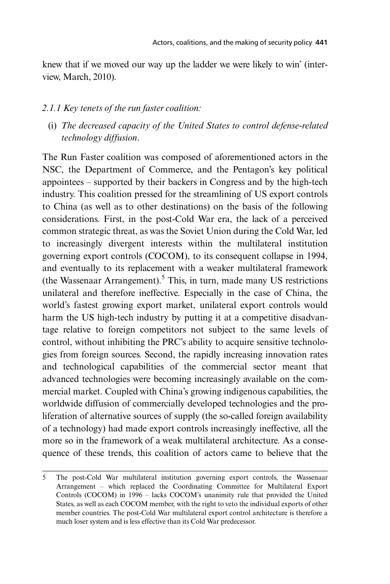knew that if we moved our way up the ladder we were likely to win' (interview, March, 2010).

### 2.1.1 Key tenets of the run faster coalition:

(i) The decreased capacity of the United States to control defense-related technology diffusion.

The Run Faster coalition was composed of aforementioned actors in the NSC, the Department of Commerce, and the Pentagon's key political appointees – supported by their backers in Congress and by the high-tech industry. This coalition pressed for the streamlining of US export controls to China (as well as to other destinations) on the basis of the following considerations. First, in the post-Cold War era, the lack of a perceived common strategic threat, as was the Soviet Union during the Cold War, led to increasingly divergent interests within the multilateral institution governing export controls (COCOM), to its consequent collapse in 1994, and eventually to its replacement with a weaker multilateral framework (the Wassenaar Arrangement).5 This, in turn, made many US restrictions unilateral and therefore ineffective. Especially in the case of China, the world's fastest growing export market, unilateral export controls would harm the US high-tech industry by putting it at a competitive disadvantage relative to foreign competitors not subject to the same levels of control, without inhibiting the PRC's ability to acquire sensitive technologies from foreign sources. Second, the rapidly increasing innovation rates and technological capabilities of the commercial sector meant that advanced technologies were becoming increasingly available on the commercial market. Coupled with China's growing indigenous capabilities, the worldwide diffusion of commercially developed technologies and the proliferation of alternative sources of supply (the so-called foreign availability of a technology) had made export controls increasingly ineffective, all the more so in the framework of a weak multilateral architecture. As a consequence of these trends, this coalition of actors came to believe that the

<sup>5</sup> The post-Cold War multilateral institution governing export controls, the Wassenaar Arrangement – which replaced the Coordinating Committee for Multilateral Export Controls (COCOM) in 1996 – lacks COCOM's unanimity rule that provided the United States, as well as each COCOM member, with the right to veto the individual exports of other member countries. The post-Cold War multilateral export control architecture is therefore a much loser system and is less effective than its Cold War predecessor.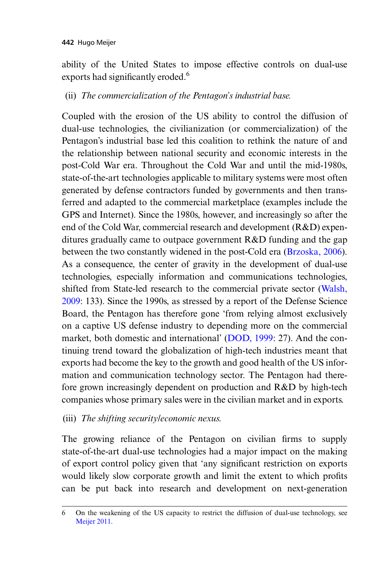ability of the United States to impose effective controls on dual-use exports had significantly eroded.<sup>6</sup>

### (ii) The commercialization of the Pentagon's industrial base.

Coupled with the erosion of the US ability to control the diffusion of dual-use technologies, the civilianization (or commercialization) of the Pentagon's industrial base led this coalition to rethink the nature of and the relationship between national security and economic interests in the post-Cold War era. Throughout the Cold War and until the mid-1980s, state-of-the-art technologies applicable to military systems were most often generated by defense contractors funded by governments and then transferred and adapted to the commercial marketplace (examples include the GPS and Internet). Since the 1980s, however, and increasingly so after the end of the Cold War, commercial research and development (R&D) expenditures gradually came to outpace government R&D funding and the gap between the two constantly widened in the post-Cold era (Brzoska, 2006). As a consequence, the center of gravity in the development of dual-use technologies, especially information and communications technologies, shifted from State-led research to the commercial private sector (Walsh, 2009: 133). Since the 1990s, as stressed by a report of the Defense Science Board, the Pentagon has therefore gone 'from relying almost exclusively on a captive US defense industry to depending more on the commercial market, both domestic and international' (DOD, 1999: 27). And the continuing trend toward the globalization of high-tech industries meant that exports had become the key to the growth and good health of the US information and communication technology sector. The Pentagon had therefore grown increasingly dependent on production and R&D by high-tech companies whose primary sales were in the civilian market and in exports.

### (iii) The shifting security/economic nexus.

The growing reliance of the Pentagon on civilian firms to supply state-of-the-art dual-use technologies had a major impact on the making of export control policy given that 'any significant restriction on exports would likely slow corporate growth and limit the extent to which profits can be put back into research and development on next-generation

<sup>6</sup> On the weakening of the US capacity to restrict the diffusion of dual-use technology, see Meijer 2011.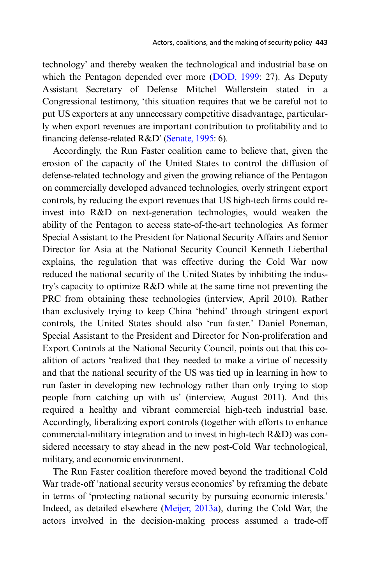technology' and thereby weaken the technological and industrial base on which the Pentagon depended ever more (DOD, 1999: 27). As Deputy Assistant Secretary of Defense Mitchel Wallerstein stated in a Congressional testimony, 'this situation requires that we be careful not to put US exporters at any unnecessary competitive disadvantage, particularly when export revenues are important contribution to profitability and to financing defense-related R&D' (Senate, 1995: 6).

Accordingly, the Run Faster coalition came to believe that, given the erosion of the capacity of the United States to control the diffusion of defense-related technology and given the growing reliance of the Pentagon on commercially developed advanced technologies, overly stringent export controls, by reducing the export revenues that US high-tech firms could reinvest into R&D on next-generation technologies, would weaken the ability of the Pentagon to access state-of-the-art technologies. As former Special Assistant to the President for National Security Affairs and Senior Director for Asia at the National Security Council Kenneth Lieberthal explains, the regulation that was effective during the Cold War now reduced the national security of the United States by inhibiting the industry's capacity to optimize R&D while at the same time not preventing the PRC from obtaining these technologies (interview, April 2010). Rather than exclusively trying to keep China 'behind' through stringent export controls, the United States should also 'run faster.' Daniel Poneman, Special Assistant to the President and Director for Non-proliferation and Export Controls at the National Security Council, points out that this coalition of actors 'realized that they needed to make a virtue of necessity and that the national security of the US was tied up in learning in how to run faster in developing new technology rather than only trying to stop people from catching up with us' (interview, August 2011). And this required a healthy and vibrant commercial high-tech industrial base. Accordingly, liberalizing export controls (together with efforts to enhance commercial-military integration and to invest in high-tech R&D) was considered necessary to stay ahead in the new post-Cold War technological, military, and economic environment.

The Run Faster coalition therefore moved beyond the traditional Cold War trade-off 'national security versus economics' by reframing the debate in terms of 'protecting national security by pursuing economic interests.' Indeed, as detailed elsewhere (Meijer, 2013a), during the Cold War, the actors involved in the decision-making process assumed a trade-off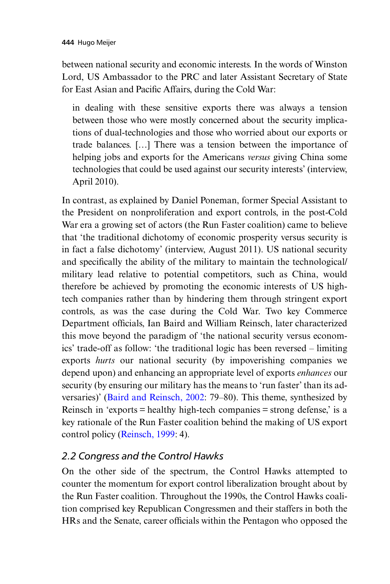between national security and economic interests. In the words of Winston Lord, US Ambassador to the PRC and later Assistant Secretary of State for East Asian and Pacific Affairs, during the Cold War:

in dealing with these sensitive exports there was always a tension between those who were mostly concerned about the security implications of dual-technologies and those who worried about our exports or trade balances. […] There was a tension between the importance of helping jobs and exports for the Americans versus giving China some technologies that could be used against our security interests' (interview, April 2010).

In contrast, as explained by Daniel Poneman, former Special Assistant to the President on nonproliferation and export controls, in the post-Cold War era a growing set of actors (the Run Faster coalition) came to believe that 'the traditional dichotomy of economic prosperity versus security is in fact a false dichotomy' (interview, August 2011). US national security and specifically the ability of the military to maintain the technological/ military lead relative to potential competitors, such as China, would therefore be achieved by promoting the economic interests of US hightech companies rather than by hindering them through stringent export controls, as was the case during the Cold War. Two key Commerce Department officials, Ian Baird and William Reinsch, later characterized this move beyond the paradigm of 'the national security versus economics' trade-off as follow: 'the traditional logic has been reversed – limiting exports hurts our national security (by impoverishing companies we depend upon) and enhancing an appropriate level of exports enhances our security (by ensuring our military has the means to 'run faster' than its adversaries)' (Baird and Reinsch, 2002: 79–80). This theme, synthesized by Reinsch in 'exports = healthy high-tech companies = strong defense,' is a key rationale of the Run Faster coalition behind the making of US export control policy (Reinsch, 1999: 4).

# 2.2 Congress and the Control Hawks

On the other side of the spectrum, the Control Hawks attempted to counter the momentum for export control liberalization brought about by the Run Faster coalition. Throughout the 1990s, the Control Hawks coalition comprised key Republican Congressmen and their staffers in both the HRs and the Senate, career officials within the Pentagon who opposed the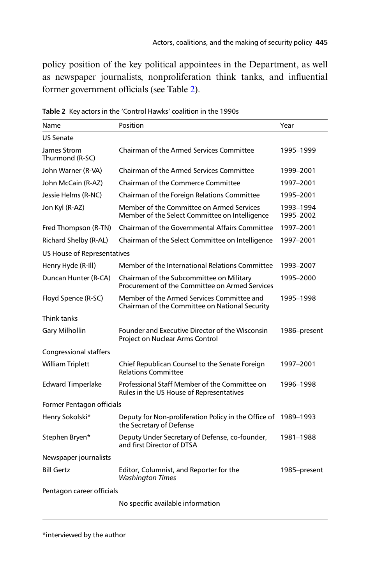policy position of the key political appointees in the Department, as well as newspaper journalists, nonproliferation think tanks, and influential former government officials (see Table 2).

| Name                           | Position                                                                                     | Year                   |  |  |
|--------------------------------|----------------------------------------------------------------------------------------------|------------------------|--|--|
| US Senate                      |                                                                                              |                        |  |  |
| James Strom<br>Thurmond (R-SC) | <b>Chairman of the Armed Services Committee</b>                                              | 1995-1999              |  |  |
| John Warner (R-VA)             | <b>Chairman of the Armed Services Committee</b>                                              | 1999-2001              |  |  |
| John McCain (R-AZ)             | Chairman of the Commerce Committee                                                           | 1997-2001              |  |  |
| Jessie Helms (R-NC)            | Chairman of the Foreign Relations Committee                                                  | 1995-2001              |  |  |
| Jon Kyl (R-AZ)                 | Member of the Committee on Armed Services<br>Member of the Select Committee on Intelligence  | 1993-1994<br>1995-2002 |  |  |
| Fred Thompson (R-TN)           | <b>Chairman of the Governmental Affairs Committee</b>                                        | 1997-2001              |  |  |
| Richard Shelby (R-AL)          | Chairman of the Select Committee on Intelligence                                             | 1997-2001              |  |  |
| US House of Representatives    |                                                                                              |                        |  |  |
| Henry Hyde (R-Ill)             | Member of the International Relations Committee                                              | 1993-2007              |  |  |
| Duncan Hunter (R-CA)           | Chairman of the Subcommittee on Military<br>Procurement of the Committee on Armed Services   | 1995-2000              |  |  |
| Floyd Spence (R-SC)            | Member of the Armed Services Committee and<br>Chairman of the Committee on National Security | 1995-1998              |  |  |
| Think tanks                    |                                                                                              |                        |  |  |
| <b>Gary Milhollin</b>          | Founder and Executive Director of the Wisconsin<br>Project on Nuclear Arms Control           | 1986–present           |  |  |
| <b>Congressional staffers</b>  |                                                                                              |                        |  |  |
| <b>William Triplett</b>        | Chief Republican Counsel to the Senate Foreign<br><b>Relations Committee</b>                 | 1997-2001              |  |  |
| <b>Edward Timperlake</b>       | Professional Staff Member of the Committee on<br>Rules in the US House of Representatives    | 1996-1998              |  |  |
| Former Pentagon officials      |                                                                                              |                        |  |  |
| Henry Sokolski*                | Deputy for Non-proliferation Policy in the Office of<br>the Secretary of Defense             | 1989-1993              |  |  |
| Stephen Bryen*                 | Deputy Under Secretary of Defense, co-founder,<br>and first Director of DTSA                 | 1981-1988              |  |  |
| Newspaper journalists          |                                                                                              |                        |  |  |
| <b>Bill Gertz</b>              | Editor, Columnist, and Reporter for the<br><b>Washington Times</b>                           | 1985–present           |  |  |
| Pentagon career officials      |                                                                                              |                        |  |  |
|                                | No specific available information                                                            |                        |  |  |

Table 2 Key actors in the 'Control Hawks' coalition in the 1990s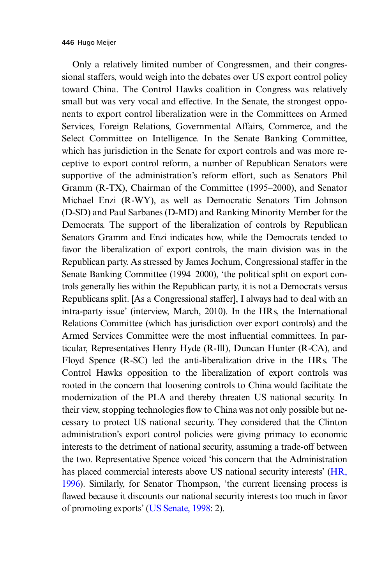Only a relatively limited number of Congressmen, and their congressional staffers, would weigh into the debates over US export control policy toward China. The Control Hawks coalition in Congress was relatively small but was very vocal and effective. In the Senate, the strongest opponents to export control liberalization were in the Committees on Armed Services, Foreign Relations, Governmental Affairs, Commerce, and the Select Committee on Intelligence. In the Senate Banking Committee, which has jurisdiction in the Senate for export controls and was more receptive to export control reform, a number of Republican Senators were supportive of the administration's reform effort, such as Senators Phil Gramm (R-TX), Chairman of the Committee (1995–2000), and Senator Michael Enzi (R-WY), as well as Democratic Senators Tim Johnson (D-SD) and Paul Sarbanes (D-MD) and Ranking Minority Member for the Democrats. The support of the liberalization of controls by Republican Senators Gramm and Enzi indicates how, while the Democrats tended to favor the liberalization of export controls, the main division was in the Republican party. As stressed by James Jochum, Congressional staffer in the Senate Banking Committee (1994–2000), 'the political split on export controls generally lies within the Republican party, it is not a Democrats versus Republicans split. [As a Congressional staffer], I always had to deal with an intra-party issue' (interview, March, 2010). In the HRs, the International Relations Committee (which has jurisdiction over export controls) and the Armed Services Committee were the most influential committees. In particular, Representatives Henry Hyde (R-Ill), Duncan Hunter (R-CA), and Floyd Spence (R-SC) led the anti-liberalization drive in the HRs. The Control Hawks opposition to the liberalization of export controls was rooted in the concern that loosening controls to China would facilitate the modernization of the PLA and thereby threaten US national security. In their view, stopping technologies flow to China was not only possible but necessary to protect US national security. They considered that the Clinton administration's export control policies were giving primacy to economic interests to the detriment of national security, assuming a trade-off between the two. Representative Spence voiced 'his concern that the Administration has placed commercial interests above US national security interests' (HR, 1996). Similarly, for Senator Thompson, 'the current licensing process is flawed because it discounts our national security interests too much in favor of promoting exports' (US Senate, 1998: 2).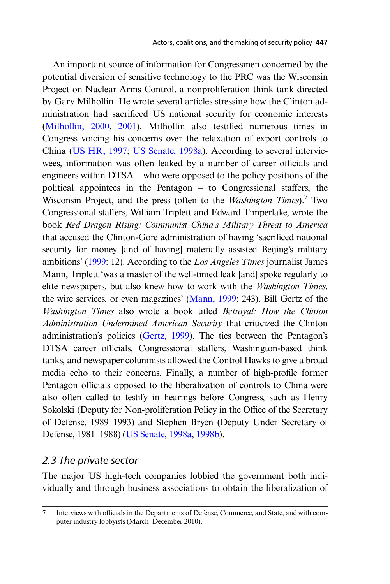An important source of information for Congressmen concerned by the potential diversion of sensitive technology to the PRC was the Wisconsin Project on Nuclear Arms Control, a nonproliferation think tank directed by Gary Milhollin. He wrote several articles stressing how the Clinton administration had sacrificed US national security for economic interests (Milhollin, 2000, 2001). Milhollin also testified numerous times in Congress voicing his concerns over the relaxation of export controls to China (US HR, 1997; US Senate, 1998a). According to several interviewees, information was often leaked by a number of career officials and engineers within DTSA – who were opposed to the policy positions of the political appointees in the Pentagon – to Congressional staffers, the Wisconsin Project, and the press (often to the *Washington Times*).<sup>7</sup> Two Congressional staffers, William Triplett and Edward Timperlake, wrote the book Red Dragon Rising: Communist China's Military Threat to America that accused the Clinton-Gore administration of having 'sacrificed national security for money [and of having] materially assisted Beijing's military ambitions' (1999: 12). According to the Los Angeles Times journalist James Mann, Triplett 'was a master of the well-timed leak [and] spoke regularly to elite newspapers, but also knew how to work with the Washington Times, the wire services, or even magazines' (Mann, 1999: 243). Bill Gertz of the Washington Times also wrote a book titled Betrayal: How the Clinton Administration Undermined American Security that criticized the Clinton administration's policies (Gertz, 1999). The ties between the Pentagon's DTSA career officials, Congressional staffers, Washington-based think tanks, and newspaper columnists allowed the Control Hawks to give a broad media echo to their concerns. Finally, a number of high-profile former Pentagon officials opposed to the liberalization of controls to China were also often called to testify in hearings before Congress, such as Henry Sokolski (Deputy for Non-proliferation Policy in the Office of the Secretary of Defense, 1989–1993) and Stephen Bryen (Deputy Under Secretary of Defense, 1981–1988) (US Senate, 1998a, 1998b).

### 2.3 The private sector

The major US high-tech companies lobbied the government both individually and through business associations to obtain the liberalization of

<sup>7</sup> Interviews with officials in the Departments of Defense, Commerce, and State, and with computer industry lobbyists (March–December 2010).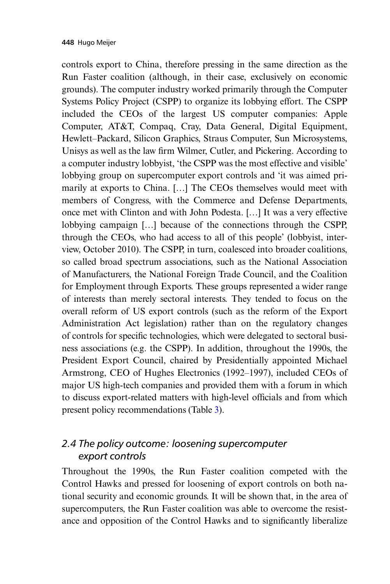controls export to China, therefore pressing in the same direction as the Run Faster coalition (although, in their case, exclusively on economic grounds). The computer industry worked primarily through the Computer Systems Policy Project (CSPP) to organize its lobbying effort. The CSPP included the CEOs of the largest US computer companies: Apple Computer, AT&T, Compaq, Cray, Data General, Digital Equipment, Hewlett–Packard, Silicon Graphics, Straus Computer, Sun Microsystems, Unisys as well as the law firm Wilmer, Cutler, and Pickering. According to a computer industry lobbyist, 'the CSPP was the most effective and visible' lobbying group on supercomputer export controls and 'it was aimed primarily at exports to China. […] The CEOs themselves would meet with members of Congress, with the Commerce and Defense Departments, once met with Clinton and with John Podesta. […] It was a very effective lobbying campaign […] because of the connections through the CSPP, through the CEOs, who had access to all of this people' (lobbyist, interview, October 2010). The CSPP, in turn, coalesced into broader coalitions, so called broad spectrum associations, such as the National Association of Manufacturers, the National Foreign Trade Council, and the Coalition for Employment through Exports. These groups represented a wider range of interests than merely sectoral interests. They tended to focus on the overall reform of US export controls (such as the reform of the Export Administration Act legislation) rather than on the regulatory changes of controls for specific technologies, which were delegated to sectoral business associations (e.g. the CSPP). In addition, throughout the 1990s, the President Export Council, chaired by Presidentially appointed Michael Armstrong, CEO of Hughes Electronics (1992–1997), included CEOs of major US high-tech companies and provided them with a forum in which to discuss export-related matters with high-level officials and from which present policy recommendations (Table 3).

# 2.4 The policy outcome: loosening supercomputer export controls

Throughout the 1990s, the Run Faster coalition competed with the Control Hawks and pressed for loosening of export controls on both national security and economic grounds. It will be shown that, in the area of supercomputers, the Run Faster coalition was able to overcome the resistance and opposition of the Control Hawks and to significantly liberalize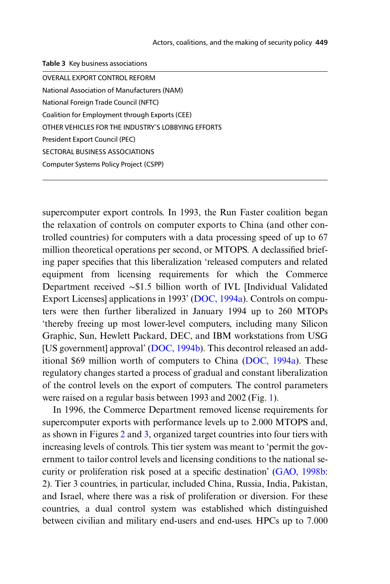Table 3 Key business associations

| OVERALL EXPORT CONTROL REFORM                      |  |
|----------------------------------------------------|--|
| National Association of Manufacturers (NAM)        |  |
| National Foreign Trade Council (NFTC)              |  |
| Coalition for Employment through Exports (CEE)     |  |
| OTHER VEHICLES FOR THE INDUSTRY'S LOBBYING EFFORTS |  |
| President Export Council (PEC)                     |  |
| SECTORAL BUSINESS ASSOCIATIONS                     |  |
| Computer Systems Policy Project (CSPP)             |  |

supercomputer export controls. In 1993, the Run Faster coalition began the relaxation of controls on computer exports to China (and other controlled countries) for computers with a data processing speed of up to 67 million theoretical operations per second, or MTOPS. A declassified briefing paper specifies that this liberalization 'released computers and related equipment from licensing requirements for which the Commerce Department received ∼\$1.5 billion worth of IVL [Individual Validated Export Licenses] applications in 1993' (DOC, 1994a). Controls on computers were then further liberalized in January 1994 up to 260 MTOPs 'thereby freeing up most lower-level computers, including many Silicon Graphic, Sun, Hewlett Packard, DEC, and IBM workstations from USG [US government] approval' (DOC, 1994b). This decontrol released an additional \$69 million worth of computers to China (DOC, 1994a). These regulatory changes started a process of gradual and constant liberalization of the control levels on the export of computers. The control parameters were raised on a regular basis between 1993 and 2002 (Fig. 1).

In 1996, the Commerce Department removed license requirements for supercomputer exports with performance levels up to 2.000 MTOPS and, as shown in Figures 2 and 3, organized target countries into four tiers with increasing levels of controls. This tier system was meant to 'permit the government to tailor control levels and licensing conditions to the national security or proliferation risk posed at a specific destination' (GAO, 1998b: 2). Tier 3 countries, in particular, included China, Russia, India, Pakistan, and Israel, where there was a risk of proliferation or diversion. For these countries, a dual control system was established which distinguished between civilian and military end-users and end-uses. HPCs up to 7.000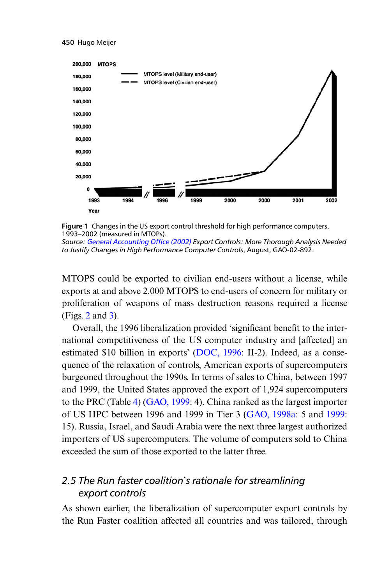#### 450 Hugo Meijer





MTOPS could be exported to civilian end-users without a license, while exports at and above 2.000 MTOPS to end-users of concern for military or proliferation of weapons of mass destruction reasons required a license (Figs. 2 and 3).

Overall, the 1996 liberalization provided 'significant benefit to the international competitiveness of the US computer industry and [affected] an estimated \$10 billion in exports' (DOC, 1996: II-2). Indeed, as a consequence of the relaxation of controls, American exports of supercomputers burgeoned throughout the 1990s. In terms of sales to China, between 1997 and 1999, the United States approved the export of 1,924 supercomputers to the PRC (Table 4) (GAO, 1999: 4). China ranked as the largest importer of US HPC between 1996 and 1999 in Tier 3 (GAO, 1998a: 5 and 1999: 15). Russia, Israel, and Saudi Arabia were the next three largest authorized importers of US supercomputers. The volume of computers sold to China exceeded the sum of those exported to the latter three.

## 2.5 The Run faster coalition's rationale for streamlining export controls

As shown earlier, the liberalization of supercomputer export controls by the Run Faster coalition affected all countries and was tailored, through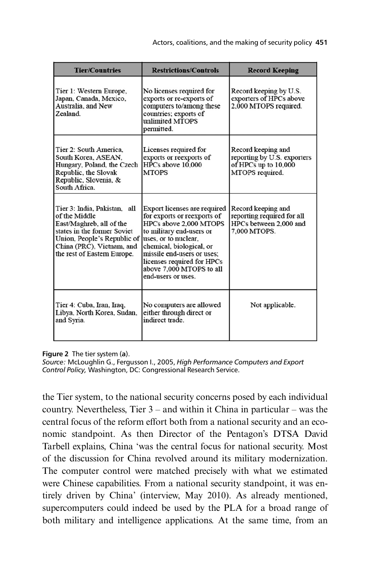| <b>Tier/Countries</b>                                                                                                                                                                                                    | <b>Restrictions/Controls</b>                                                                                                                                                                                                                                | <b>Record Keeping</b>                                                                        |
|--------------------------------------------------------------------------------------------------------------------------------------------------------------------------------------------------------------------------|-------------------------------------------------------------------------------------------------------------------------------------------------------------------------------------------------------------------------------------------------------------|----------------------------------------------------------------------------------------------|
| Tier 1: Western Europe,<br>Japan, Canada, Mexico,<br>Australia, and New<br>Zealand.                                                                                                                                      | No licenses required for<br>exports or re-exports of<br>computers to/among these<br>countries; exports of<br>unlimited MTOPS<br>permitted.                                                                                                                  | Record keeping by U.S.<br>exporters of HPCs above<br>2,000 MTOPS required.                   |
| Tier 2: South America.<br>South Korea, ASEAN,<br>Hungary, Poland, the Czech<br>Republic, the Slovak<br>Republic, Slovenia, &<br>South Africa                                                                             | Licenses required for<br>exports or reexports of<br>HPCs above 10,000<br><b>MTOPS</b>                                                                                                                                                                       | Record keeping and<br>reporting by U.S. exporters<br>of HPCs up to 10,000<br>MTOPS required. |
| Tier 3: India, Pakistan, all<br>of the Middle<br>East/Maghreb, all of the<br>states in the former Soviet<br>Union, People's Republic of uses, or to nuclear,<br>China (PRC), Vietnam, and<br>the rest of Eastern Europe. | Export licenses are required<br>for exports or reexports of<br>HPCs above 2,000 MTOPS<br>to military end-users or<br>chemical, biological, or<br>missile end-users or uses:<br>licenses required for HPCs<br>above 7,000 MTOPS to all<br>end-users or uses. | Record keeping and<br>reporting required for all<br>HPCs between 2,000 and<br>7.000 MTOPS.   |
| Tier 4: Cuba, Iran, Iraq,<br>Libya, North Korea, Sudan,<br>and Syria.                                                                                                                                                    | No computers are allowed<br>either through direct or<br>indirect trade.                                                                                                                                                                                     | Not applicable.                                                                              |

Figure 2 The tier system (a).

Source: McLoughlin G., Fergusson I., 2005, High Performance Computers and Export Control Policy, Washington, DC: Congressional Research Service.

the Tier system, to the national security concerns posed by each individual country. Nevertheless, Tier  $3$  – and within it China in particular – was the central focus of the reform effort both from a national security and an economic standpoint. As then Director of the Pentagon's DTSA David Tarbell explains, China 'was the central focus for national security. Most of the discussion for China revolved around its military modernization. The computer control were matched precisely with what we estimated were Chinese capabilities. From a national security standpoint, it was entirely driven by China' (interview, May 2010). As already mentioned, supercomputers could indeed be used by the PLA for a broad range of both military and intelligence applications. At the same time, from an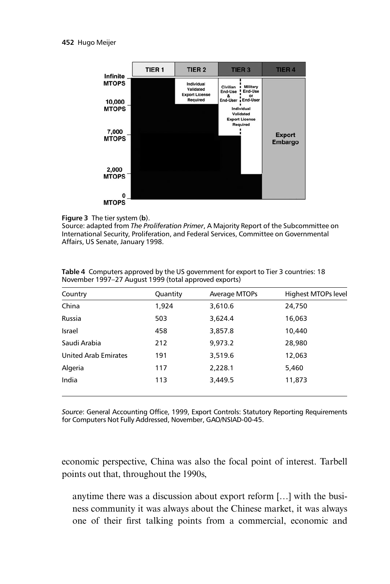#### 452 Hugo Meijer



#### Figure 3 The tier system (b).

Source: adapted from The Proliferation Primer, A Majority Report of the Subcommittee on International Security, Proliferation, and Federal Services, Committee on Governmental Affairs, US Senate, January 1998.

| Country                     | Quantity | Average MTOPs | Highest MTOPs level |
|-----------------------------|----------|---------------|---------------------|
| China                       | 1,924    | 3,610.6       | 24,750              |
| Russia                      | 503      | 3,624.4       | 16,063              |
| <b>Israel</b>               | 458      | 3,857.8       | 10,440              |
| Saudi Arabia                | 212      | 9,973.2       | 28,980              |
| <b>United Arab Emirates</b> | 191      | 3,519.6       | 12,063              |
| Algeria                     | 117      | 2,228.1       | 5,460               |
| India                       | 113      | 3,449.5       | 11,873              |
|                             |          |               |                     |

Table 4 Computers approved by the US government for export to Tier 3 countries: 18 November 1997–27 August 1999 (total approved exports)

Source: General Accounting Office, 1999, Export Controls: Statutory Reporting Requirements for Computers Not Fully Addressed, November, GAO/NSIAD-00-45.

economic perspective, China was also the focal point of interest. Tarbell points out that, throughout the 1990s,

anytime there was a discussion about export reform […] with the business community it was always about the Chinese market, it was always one of their first talking points from a commercial, economic and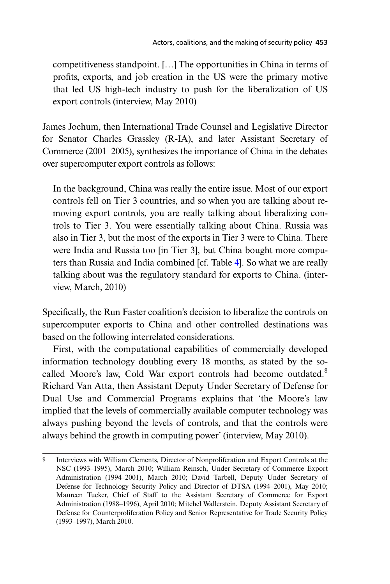competitiveness standpoint. […] The opportunities in China in terms of profits, exports, and job creation in the US were the primary motive that led US high-tech industry to push for the liberalization of US export controls (interview, May 2010)

James Jochum, then International Trade Counsel and Legislative Director for Senator Charles Grassley (R-IA), and later Assistant Secretary of Commerce (2001–2005), synthesizes the importance of China in the debates over supercomputer export controls as follows:

In the background, China was really the entire issue. Most of our export controls fell on Tier 3 countries, and so when you are talking about removing export controls, you are really talking about liberalizing controls to Tier 3. You were essentially talking about China. Russia was also in Tier 3, but the most of the exports in Tier 3 were to China. There were India and Russia too [in Tier 3], but China bought more computers than Russia and India combined [cf. Table 4]. So what we are really talking about was the regulatory standard for exports to China. (interview, March, 2010)

Specifically, the Run Faster coalition's decision to liberalize the controls on supercomputer exports to China and other controlled destinations was based on the following interrelated considerations.

First, with the computational capabilities of commercially developed information technology doubling every 18 months, as stated by the socalled Moore's law, Cold War export controls had become outdated.<sup>8</sup> Richard Van Atta, then Assistant Deputy Under Secretary of Defense for Dual Use and Commercial Programs explains that 'the Moore's law implied that the levels of commercially available computer technology was always pushing beyond the levels of controls, and that the controls were always behind the growth in computing power' (interview, May 2010).

<sup>8</sup> Interviews with William Clements, Director of Nonproliferation and Export Controls at the NSC (1993–1995), March 2010; William Reinsch, Under Secretary of Commerce Export Administration (1994–2001), March 2010; David Tarbell, Deputy Under Secretary of Defense for Technology Security Policy and Director of DTSA (1994–2001), May 2010; Maureen Tucker, Chief of Staff to the Assistant Secretary of Commerce for Export Administration (1988–1996), April 2010; Mitchel Wallerstein, Deputy Assistant Secretary of Defense for Counterproliferation Policy and Senior Representative for Trade Security Policy (1993–1997), March 2010.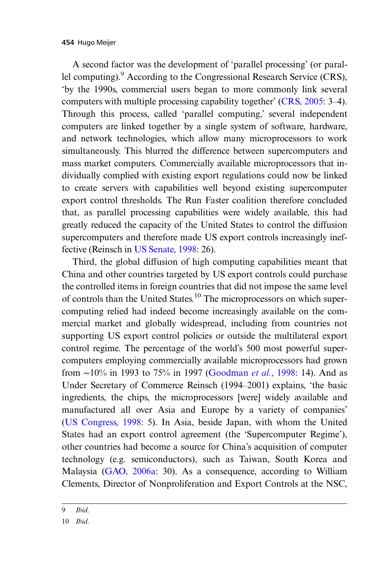A second factor was the development of 'parallel processing' (or parallel computing).<sup>9</sup> According to the Congressional Research Service (CRS), 'by the 1990s, commercial users began to more commonly link several computers with multiple processing capability together' (CRS, 2005: 3–4). Through this process, called 'parallel computing,' several independent computers are linked together by a single system of software, hardware, and network technologies, which allow many microprocessors to work simultaneously. This blurred the difference between supercomputers and mass market computers. Commercially available microprocessors that individually complied with existing export regulations could now be linked to create servers with capabilities well beyond existing supercomputer export control thresholds. The Run Faster coalition therefore concluded that, as parallel processing capabilities were widely available, this had greatly reduced the capacity of the United States to control the diffusion supercomputers and therefore made US export controls increasingly ineffective (Reinsch in US Senate, 1998: 26).

Third, the global diffusion of high computing capabilities meant that China and other countries targeted by US export controls could purchase the controlled items in foreign countries that did not impose the same level of controls than the United States.10 The microprocessors on which supercomputing relied had indeed become increasingly available on the commercial market and globally widespread, including from countries not supporting US export control policies or outside the multilateral export control regime. The percentage of the world's 500 most powerful supercomputers employing commercially available microprocessors had grown from ~10% in 1993 to 75% in 1997 (Goodman *et al.*, 1998: 14). And as Under Secretary of Commerce Reinsch (1994–2001) explains, 'the basic ingredients, the chips, the microprocessors [were] widely available and manufactured all over Asia and Europe by a variety of companies' (US Congress, 1998: 5). In Asia, beside Japan, with whom the United States had an export control agreement (the 'Supercomputer Regime'), other countries had become a source for China's acquisition of computer technology (e.g. semiconductors), such as Taiwan, South Korea and Malaysia (GAO, 2006a: 30). As a consequence, according to William Clements, Director of Nonproliferation and Export Controls at the NSC,

<sup>9</sup> Ibid.

<sup>10</sup> Ibid.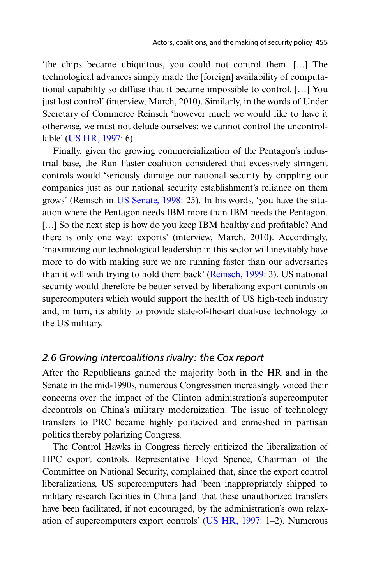'the chips became ubiquitous, you could not control them. […] The technological advances simply made the [foreign] availability of computational capability so diffuse that it became impossible to control. […] You just lost control' (interview, March, 2010). Similarly, in the words of Under Secretary of Commerce Reinsch 'however much we would like to have it otherwise, we must not delude ourselves: we cannot control the uncontrollable' (US HR, 1997: 6).

Finally, given the growing commercialization of the Pentagon's industrial base, the Run Faster coalition considered that excessively stringent controls would 'seriously damage our national security by crippling our companies just as our national security establishment's reliance on them grows' (Reinsch in US Senate, 1998: 25). In his words, 'you have the situation where the Pentagon needs IBM more than IBM needs the Pentagon. [...] So the next step is how do you keep IBM healthy and profitable? And there is only one way: exports' (interview, March, 2010). Accordingly, 'maximizing our technological leadership in this sector will inevitably have more to do with making sure we are running faster than our adversaries than it will with trying to hold them back' (Reinsch, 1999: 3). US national security would therefore be better served by liberalizing export controls on supercomputers which would support the health of US high-tech industry and, in turn, its ability to provide state-of-the-art dual-use technology to the US military.

### 2.6 Growing intercoalitions rivalry: the Cox report

After the Republicans gained the majority both in the HR and in the Senate in the mid-1990s, numerous Congressmen increasingly voiced their concerns over the impact of the Clinton administration's supercomputer decontrols on China's military modernization. The issue of technology transfers to PRC became highly politicized and enmeshed in partisan politics thereby polarizing Congress.

The Control Hawks in Congress fiercely criticized the liberalization of HPC export controls. Representative Floyd Spence, Chairman of the Committee on National Security, complained that, since the export control liberalizations, US supercomputers had 'been inappropriately shipped to military research facilities in China [and] that these unauthorized transfers have been facilitated, if not encouraged, by the administration's own relaxation of supercomputers export controls' (US HR, 1997: 1–2). Numerous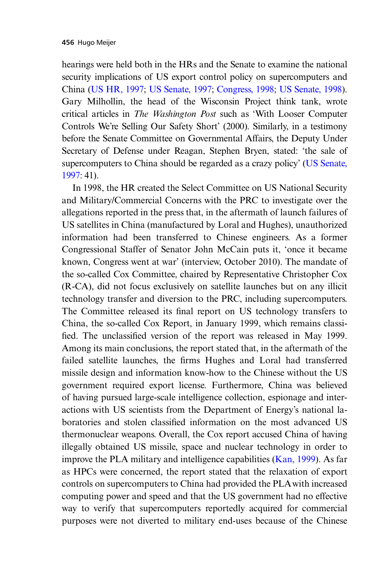hearings were held both in the HRs and the Senate to examine the national security implications of US export control policy on supercomputers and China (US HR, 1997; US Senate, 1997; Congress, 1998; US Senate, 1998). Gary Milhollin, the head of the Wisconsin Project think tank, wrote critical articles in The Washington Post such as 'With Looser Computer Controls We're Selling Our Safety Short' (2000). Similarly, in a testimony before the Senate Committee on Governmental Affairs, the Deputy Under Secretary of Defense under Reagan, Stephen Bryen, stated: 'the sale of supercomputers to China should be regarded as a crazy policy' (US Senate, 1997: 41).

In 1998, the HR created the Select Committee on US National Security and Military/Commercial Concerns with the PRC to investigate over the allegations reported in the press that, in the aftermath of launch failures of US satellites in China (manufactured by Loral and Hughes), unauthorized information had been transferred to Chinese engineers. As a former Congressional Staffer of Senator John McCain puts it, 'once it became known, Congress went at war' (interview, October 2010). The mandate of the so-called Cox Committee, chaired by Representative Christopher Cox (R-CA), did not focus exclusively on satellite launches but on any illicit technology transfer and diversion to the PRC, including supercomputers. The Committee released its final report on US technology transfers to China, the so-called Cox Report, in January 1999, which remains classified. The unclassified version of the report was released in May 1999. Among its main conclusions, the report stated that, in the aftermath of the failed satellite launches, the firms Hughes and Loral had transferred missile design and information know-how to the Chinese without the US government required export license. Furthermore, China was believed of having pursued large-scale intelligence collection, espionage and interactions with US scientists from the Department of Energy's national laboratories and stolen classified information on the most advanced US thermonuclear weapons. Overall, the Cox report accused China of having illegally obtained US missile, space and nuclear technology in order to improve the PLA military and intelligence capabilities (Kan, 1999). As far as HPCs were concerned, the report stated that the relaxation of export controls on supercomputers to China had provided the PLAwith increased computing power and speed and that the US government had no effective way to verify that supercomputers reportedly acquired for commercial purposes were not diverted to military end-uses because of the Chinese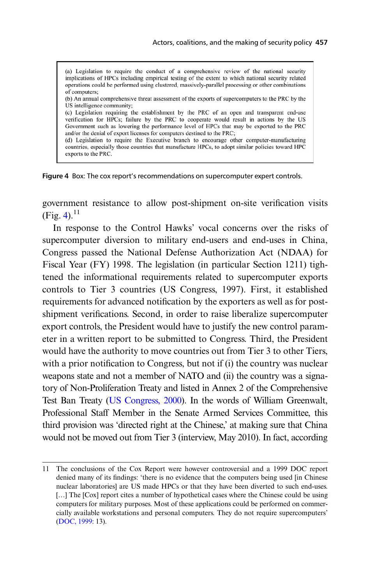(a) Legislation to require the conduct of a comprehensive review of the national security implications of HPCs including empirical testing of the extent to which national security related operations could be performed using clustered, massively-parallel processing or other combinations of computers;

(b) An annual comprehensive threat assessment of the exports of supercomputers to the PRC by the US intelligence community;

(c) Legislation requiring the establishment by the PRC of an open and transparent end-use verification for HPCs; failure by the PRC to cooperate would result in actions by the US Government such as lowering the performance level of HPCs that may be exported to the PRC and/or the denial of export licenses for computers destined to the PRC; (d) Legislation to require the Executive branch to encourage other computer-manufacturing

countries, especially those countries that manufacture HPCs, to adopt similar policies toward HPC exports to the PRC.

Figure 4 Box: The cox report's recommendations on supercomputer expert controls.

government resistance to allow post-shipment on-site verification visits  $(Fi\sigma, 4)$ <sup>11</sup>

In response to the Control Hawks' vocal concerns over the risks of supercomputer diversion to military end-users and end-uses in China, Congress passed the National Defense Authorization Act (NDAA) for Fiscal Year (FY) 1998. The legislation (in particular Section 1211) tightened the informational requirements related to supercomputer exports controls to Tier 3 countries (US Congress, 1997). First, it established requirements for advanced notification by the exporters as well as for postshipment verifications. Second, in order to raise liberalize supercomputer export controls, the President would have to justify the new control parameter in a written report to be submitted to Congress. Third, the President would have the authority to move countries out from Tier 3 to other Tiers, with a prior notification to Congress, but not if (i) the country was nuclear weapons state and not a member of NATO and (ii) the country was a signatory of Non-Proliferation Treaty and listed in Annex 2 of the Comprehensive Test Ban Treaty (US Congress, 2000). In the words of William Greenwalt, Professional Staff Member in the Senate Armed Services Committee, this third provision was 'directed right at the Chinese,' at making sure that China would not be moved out from Tier 3 (interview, May 2010). In fact, according

<sup>11</sup> The conclusions of the Cox Report were however controversial and a 1999 DOC report denied many of its findings: 'there is no evidence that the computers being used [in Chinese nuclear laboratories] are US made HPCs or that they have been diverted to such end-uses. [...] The [Cox] report cites a number of hypothetical cases where the Chinese could be using computers for military purposes. Most of these applications could be performed on commercially available workstations and personal computers. They do not require supercomputers' (DOC, 1999: 13).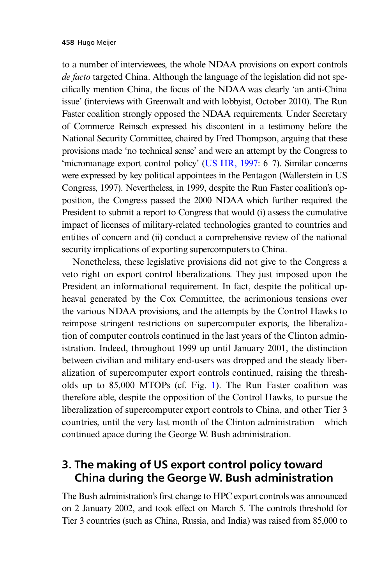to a number of interviewees, the whole NDAA provisions on export controls de facto targeted China. Although the language of the legislation did not specifically mention China, the focus of the NDAA was clearly 'an anti-China issue' (interviews with Greenwalt and with lobbyist, October 2010). The Run Faster coalition strongly opposed the NDAA requirements. Under Secretary of Commerce Reinsch expressed his discontent in a testimony before the National Security Committee, chaired by Fred Thompson, arguing that these provisions made 'no technical sense' and were an attempt by the Congress to 'micromanage export control policy' (US HR, 1997: 6–7). Similar concerns were expressed by key political appointees in the Pentagon (Wallerstein in US Congress, 1997). Nevertheless, in 1999, despite the Run Faster coalition's opposition, the Congress passed the 2000 NDAA which further required the President to submit a report to Congress that would (i) assess the cumulative impact of licenses of military-related technologies granted to countries and entities of concern and (ii) conduct a comprehensive review of the national security implications of exporting supercomputers to China.

Nonetheless, these legislative provisions did not give to the Congress a veto right on export control liberalizations. They just imposed upon the President an informational requirement. In fact, despite the political upheaval generated by the Cox Committee, the acrimonious tensions over the various NDAA provisions, and the attempts by the Control Hawks to reimpose stringent restrictions on supercomputer exports, the liberalization of computer controls continued in the last years of the Clinton administration. Indeed, throughout 1999 up until January 2001, the distinction between civilian and military end-users was dropped and the steady liberalization of supercomputer export controls continued, raising the thresholds up to 85,000 MTOPs (cf. Fig. 1). The Run Faster coalition was therefore able, despite the opposition of the Control Hawks, to pursue the liberalization of supercomputer export controls to China, and other Tier 3 countries, until the very last month of the Clinton administration – which continued apace during the George W. Bush administration.

# 3. The making of US export control policy toward China during the George W. Bush administration

The Bush administration's first change to HPC export controls was announced on 2 January 2002, and took effect on March 5. The controls threshold for Tier 3 countries (such as China, Russia, and India) was raised from 85,000 to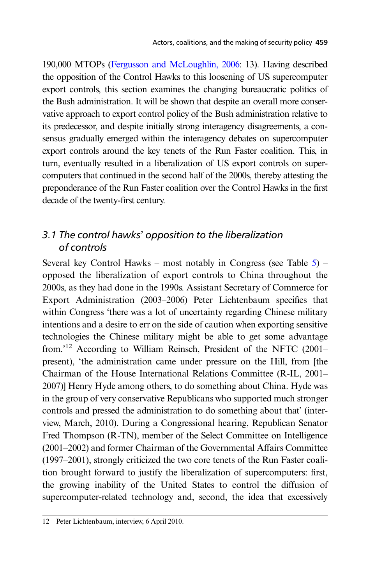190,000 MTOPs (Fergusson and McLoughlin, 2006: 13). Having described the opposition of the Control Hawks to this loosening of US supercomputer export controls, this section examines the changing bureaucratic politics of the Bush administration. It will be shown that despite an overall more conservative approach to export control policy of the Bush administration relative to its predecessor, and despite initially strong interagency disagreements, a consensus gradually emerged within the interagency debates on supercomputer export controls around the key tenets of the Run Faster coalition. This, in turn, eventually resulted in a liberalization of US export controls on supercomputers that continued in the second half of the 2000s, thereby attesting the preponderance of the Run Faster coalition over the Control Hawks in the first decade of the twenty-first century.

# 3.1 The control hawks' opposition to the liberalization of controls

Several key Control Hawks – most notably in Congress (see Table  $5$ ) – opposed the liberalization of export controls to China throughout the 2000s, as they had done in the 1990s. Assistant Secretary of Commerce for Export Administration (2003–2006) Peter Lichtenbaum specifies that within Congress 'there was a lot of uncertainty regarding Chinese military intentions and a desire to err on the side of caution when exporting sensitive technologies the Chinese military might be able to get some advantage from.<sup>12</sup> According to William Reinsch, President of the NFTC (2001present), 'the administration came under pressure on the Hill, from [the Chairman of the House International Relations Committee (R-IL, 2001– 2007)] Henry Hyde among others, to do something about China. Hyde was in the group of very conservative Republicans who supported much stronger controls and pressed the administration to do something about that' (interview, March, 2010). During a Congressional hearing, Republican Senator Fred Thompson (R-TN), member of the Select Committee on Intelligence (2001–2002) and former Chairman of the Governmental Affairs Committee (1997–2001), strongly criticized the two core tenets of the Run Faster coalition brought forward to justify the liberalization of supercomputers: first, the growing inability of the United States to control the diffusion of supercomputer-related technology and, second, the idea that excessively

<sup>12</sup> Peter Lichtenbaum, interview, 6 April 2010.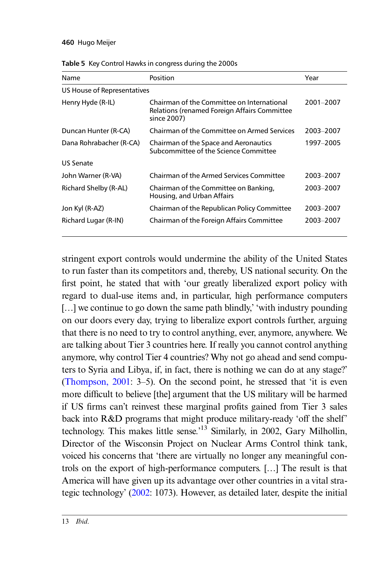| Name                        | Position                                                                                                          | Year      |
|-----------------------------|-------------------------------------------------------------------------------------------------------------------|-----------|
| US House of Representatives |                                                                                                                   |           |
| Henry Hyde (R-IL)           | Chairman of the Committee on International<br><b>Relations (renamed Foreign Affairs Committee)</b><br>since 2007) | 2001-2007 |
| Duncan Hunter (R-CA)        | Chairman of the Committee on Armed Services                                                                       | 2003-2007 |
| Dana Rohrabacher (R-CA)     | Chairman of the Space and Aeronautics<br>Subcommittee of the Science Committee                                    | 1997-2005 |
| US Senate                   |                                                                                                                   |           |
| John Warner (R-VA)          | Chairman of the Armed Services Committee                                                                          | 2003-2007 |
| Richard Shelby (R-AL)       | Chairman of the Committee on Banking,<br>Housing, and Urban Affairs                                               | 2003-2007 |
| Jon Kyl (R-AZ)              | Chairman of the Republican Policy Committee                                                                       | 2003-2007 |
| Richard Lugar (R-IN)        | Chairman of the Foreign Affairs Committee                                                                         | 2003–2007 |

Table 5 Key Control Hawks in congress during the 2000s

stringent export controls would undermine the ability of the United States to run faster than its competitors and, thereby, US national security. On the first point, he stated that with 'our greatly liberalized export policy with regard to dual-use items and, in particular, high performance computers [...] we continue to go down the same path blindly, 'with industry pounding on our doors every day, trying to liberalize export controls further, arguing that there is no need to try to control anything, ever, anymore, anywhere. We are talking about Tier 3 countries here. If really you cannot control anything anymore, why control Tier 4 countries? Why not go ahead and send computers to Syria and Libya, if, in fact, there is nothing we can do at any stage?' (Thompson, 2001: 3–5). On the second point, he stressed that 'it is even more difficult to believe [the] argument that the US military will be harmed if US firms can't reinvest these marginal profits gained from Tier 3 sales back into R&D programs that might produce military-ready 'off the shelf' technology. This makes little sense.'<sup>13</sup> Similarly, in 2002, Gary Milhollin, Director of the Wisconsin Project on Nuclear Arms Control think tank, voiced his concerns that 'there are virtually no longer any meaningful controls on the export of high-performance computers. […] The result is that America will have given up its advantage over other countries in a vital strategic technology' (2002: 1073). However, as detailed later, despite the initial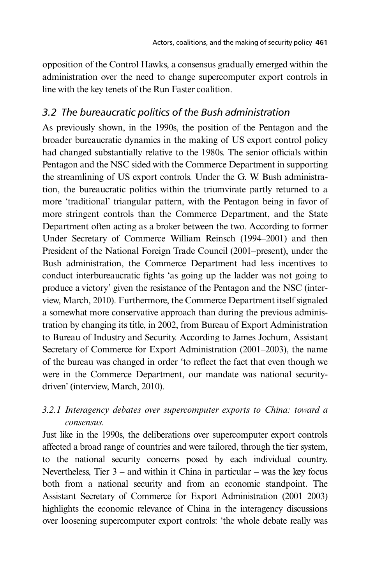opposition of the Control Hawks, a consensus gradually emerged within the administration over the need to change supercomputer export controls in line with the key tenets of the Run Faster coalition.

# 3.2 The bureaucratic politics of the Bush administration

As previously shown, in the 1990s, the position of the Pentagon and the broader bureaucratic dynamics in the making of US export control policy had changed substantially relative to the 1980s. The senior officials within Pentagon and the NSC sided with the Commerce Department in supporting the streamlining of US export controls. Under the G. W. Bush administration, the bureaucratic politics within the triumvirate partly returned to a more 'traditional' triangular pattern, with the Pentagon being in favor of more stringent controls than the Commerce Department, and the State Department often acting as a broker between the two. According to former Under Secretary of Commerce William Reinsch (1994–2001) and then President of the National Foreign Trade Council (2001–present), under the Bush administration, the Commerce Department had less incentives to conduct interbureaucratic fights 'as going up the ladder was not going to produce a victory' given the resistance of the Pentagon and the NSC (interview, March, 2010). Furthermore, the Commerce Department itself signaled a somewhat more conservative approach than during the previous administration by changing its title, in 2002, from Bureau of Export Administration to Bureau of Industry and Security. According to James Jochum, Assistant Secretary of Commerce for Export Administration (2001–2003), the name of the bureau was changed in order 'to reflect the fact that even though we were in the Commerce Department, our mandate was national securitydriven' (interview, March, 2010).

## 3.2.1 Interagency debates over supercomputer exports to China: toward a consensus.

Just like in the 1990s, the deliberations over supercomputer export controls affected a broad range of countries and were tailored, through the tier system, to the national security concerns posed by each individual country. Nevertheless, Tier  $3$  – and within it China in particular – was the key focus both from a national security and from an economic standpoint. The Assistant Secretary of Commerce for Export Administration (2001–2003) highlights the economic relevance of China in the interagency discussions over loosening supercomputer export controls: 'the whole debate really was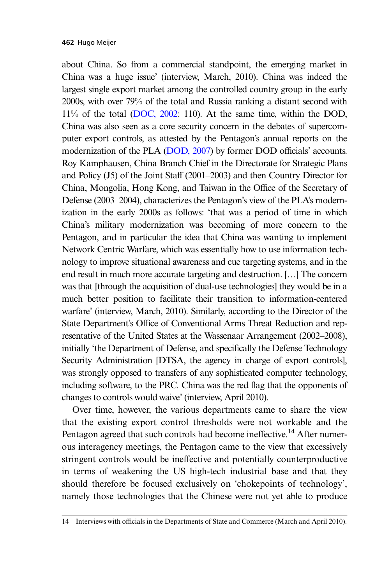about China. So from a commercial standpoint, the emerging market in China was a huge issue' (interview, March, 2010). China was indeed the largest single export market among the controlled country group in the early 2000s, with over 79% of the total and Russia ranking a distant second with 11% of the total (DOC, 2002: 110). At the same time, within the DOD, China was also seen as a core security concern in the debates of supercomputer export controls, as attested by the Pentagon's annual reports on the modernization of the PLA (DOD, 2007) by former DOD officials' accounts. Roy Kamphausen, China Branch Chief in the Directorate for Strategic Plans and Policy (J5) of the Joint Staff (2001–2003) and then Country Director for China, Mongolia, Hong Kong, and Taiwan in the Office of the Secretary of Defense (2003–2004), characterizes the Pentagon's view of the PLA's modernization in the early 2000s as follows: 'that was a period of time in which China's military modernization was becoming of more concern to the Pentagon, and in particular the idea that China was wanting to implement Network Centric Warfare, which was essentially how to use information technology to improve situational awareness and cue targeting systems, and in the end result in much more accurate targeting and destruction. […] The concern was that [through the acquisition of dual-use technologies] they would be in a much better position to facilitate their transition to information-centered warfare' (interview, March, 2010). Similarly, according to the Director of the State Department's Office of Conventional Arms Threat Reduction and representative of the United States at the Wassenaar Arrangement (2002–2008), initially 'the Department of Defense, and specifically the Defense Technology Security Administration [DTSA, the agency in charge of export controls], was strongly opposed to transfers of any sophisticated computer technology, including software, to the PRC. China was the red flag that the opponents of changes to controls would waive' (interview, April 2010).

Over time, however, the various departments came to share the view that the existing export control thresholds were not workable and the Pentagon agreed that such controls had become ineffective.<sup>14</sup> After numerous interagency meetings, the Pentagon came to the view that excessively stringent controls would be ineffective and potentially counterproductive in terms of weakening the US high-tech industrial base and that they should therefore be focused exclusively on 'chokepoints of technology', namely those technologies that the Chinese were not yet able to produce

<sup>14</sup> Interviews with officials in the Departments of State and Commerce (March and April 2010).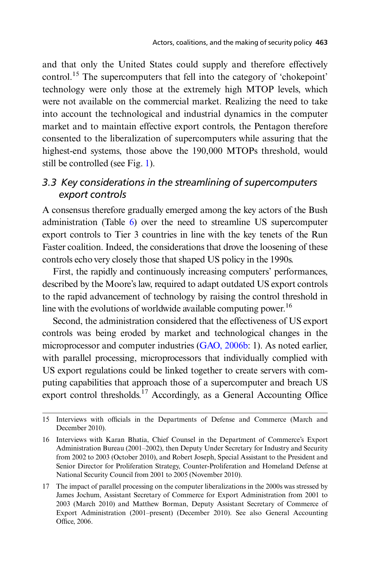and that only the United States could supply and therefore effectively control.15 The supercomputers that fell into the category of 'chokepoint' technology were only those at the extremely high MTOP levels, which were not available on the commercial market. Realizing the need to take into account the technological and industrial dynamics in the computer market and to maintain effective export controls, the Pentagon therefore consented to the liberalization of supercomputers while assuring that the highest-end systems, those above the 190,000 MTOPs threshold, would still be controlled (see Fig. 1).

# 3.3 Key considerations in the streamlining of supercomputers export controls

A consensus therefore gradually emerged among the key actors of the Bush administration (Table 6) over the need to streamline US supercomputer export controls to Tier 3 countries in line with the key tenets of the Run Faster coalition. Indeed, the considerations that drove the loosening of these controls echo very closely those that shaped US policy in the 1990s.

First, the rapidly and continuously increasing computers' performances, described by the Moore's law, required to adapt outdated US export controls to the rapid advancement of technology by raising the control threshold in line with the evolutions of worldwide available computing power.<sup>16</sup>

Second, the administration considered that the effectiveness of US export controls was being eroded by market and technological changes in the microprocessor and computer industries (GAO, 2006b: 1). As noted earlier, with parallel processing, microprocessors that individually complied with US export regulations could be linked together to create servers with computing capabilities that approach those of a supercomputer and breach US export control thresholds.<sup>17</sup> Accordingly, as a General Accounting Office

<sup>15</sup> Interviews with officials in the Departments of Defense and Commerce (March and December 2010).

<sup>16</sup> Interviews with Karan Bhatia, Chief Counsel in the Department of Commerce's Export Administration Bureau (2001–2002), then Deputy Under Secretary for Industry and Security from 2002 to 2003 (October 2010), and Robert Joseph, Special Assistant to the President and Senior Director for Proliferation Strategy, Counter-Proliferation and Homeland Defense at National Security Council from 2001 to 2005 (November 2010).

<sup>17</sup> The impact of parallel processing on the computer liberalizations in the 2000s was stressed by James Jochum, Assistant Secretary of Commerce for Export Administration from 2001 to 2003 (March 2010) and Matthew Borman, Deputy Assistant Secretary of Commerce of Export Administration (2001–present) (December 2010). See also General Accounting Office, 2006.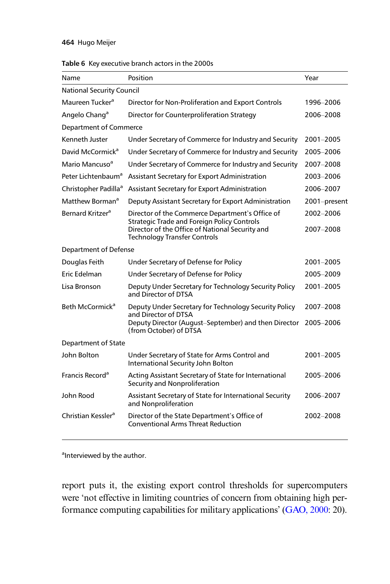|  | Table 6 Key executive branch actors in the 2000s |  |  |  |
|--|--------------------------------------------------|--|--|--|
|--|--------------------------------------------------|--|--|--|

| Name                             | Position                                                                                                                                     | Year         |  |
|----------------------------------|----------------------------------------------------------------------------------------------------------------------------------------------|--------------|--|
| <b>National Security Council</b> |                                                                                                                                              |              |  |
| Maureen Tucker <sup>a</sup>      | Director for Non-Proliferation and Export Controls                                                                                           | 1996–2006    |  |
| Angelo Chang <sup>a</sup>        | Director for Counterproliferation Strategy                                                                                                   | 2006-2008    |  |
| Department of Commerce           |                                                                                                                                              |              |  |
| Kenneth Juster                   | Under Secretary of Commerce for Industry and Security                                                                                        | 2001-2005    |  |
| David McCormick <sup>a</sup>     | Under Secretary of Commerce for Industry and Security                                                                                        | 2005-2006    |  |
| Mario Mancuso <sup>a</sup>       | Under Secretary of Commerce for Industry and Security                                                                                        | 2007-2008    |  |
| Peter Lichtenbaum <sup>a</sup>   | <b>Assistant Secretary for Export Administration</b>                                                                                         | 2003-2006    |  |
| Christopher Padilla <sup>a</sup> | <b>Assistant Secretary for Export Administration</b>                                                                                         | 2006-2007    |  |
| Matthew Borman <sup>a</sup>      | Deputy Assistant Secretary for Export Administration                                                                                         | 2001-present |  |
| Bernard Kritzer <sup>a</sup>     | Director of the Commerce Department's Office of                                                                                              | 2002-2006    |  |
|                                  | <b>Strategic Trade and Foreign Policy Controls</b><br>Director of the Office of National Security and<br><b>Technology Transfer Controls</b> | 2007-2008    |  |
| <b>Department of Defense</b>     |                                                                                                                                              |              |  |
| Douglas Feith                    | Under Secretary of Defense for Policy                                                                                                        | 2001-2005    |  |
| Eric Edelman                     | Under Secretary of Defense for Policy                                                                                                        | 2005-2009    |  |
| Lisa Bronson                     | Deputy Under Secretary for Technology Security Policy<br>and Director of DTSA                                                                | 2001-2005    |  |
| Beth McCormick <sup>a</sup>      | Deputy Under Secretary for Technology Security Policy                                                                                        | 2007-2008    |  |
|                                  | and Director of DTSA<br>Deputy Director (August-September) and then Director<br>(from October) of DTSA                                       | 2005-2006    |  |
| Department of State              |                                                                                                                                              |              |  |
| John Bolton                      | Under Secretary of State for Arms Control and<br>International Security John Bolton                                                          | 2001-2005    |  |
| Francis Record <sup>a</sup>      | Acting Assistant Secretary of State for International<br>Security and Nonproliferation                                                       | 2005-2006    |  |
| John Rood                        | Assistant Secretary of State for International Security<br>and Nonproliferation                                                              | 2006-2007    |  |
| Christian Kessler <sup>a</sup>   | Director of the State Department's Office of<br><b>Conventional Arms Threat Reduction</b>                                                    | 2002-2008    |  |

<sup>a</sup>Interviewed by the author.

report puts it, the existing export control thresholds for supercomputers were 'not effective in limiting countries of concern from obtaining high performance computing capabilities for military applications' (GAO, 2000: 20).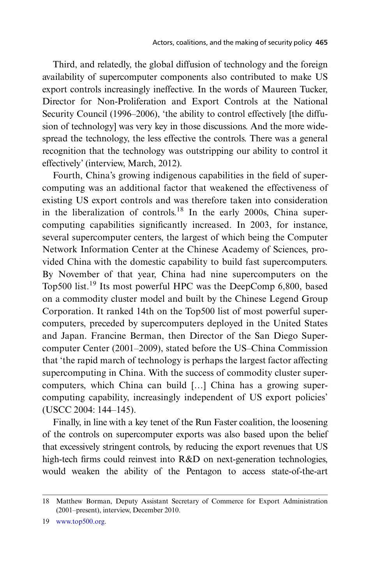Third, and relatedly, the global diffusion of technology and the foreign availability of supercomputer components also contributed to make US export controls increasingly ineffective. In the words of Maureen Tucker, Director for Non-Proliferation and Export Controls at the National Security Council (1996–2006), 'the ability to control effectively [the diffusion of technology] was very key in those discussions. And the more widespread the technology, the less effective the controls. There was a general recognition that the technology was outstripping our ability to control it effectively' (interview, March, 2012).

Fourth, China's growing indigenous capabilities in the field of supercomputing was an additional factor that weakened the effectiveness of existing US export controls and was therefore taken into consideration in the liberalization of controls.<sup>18</sup> In the early 2000s, China supercomputing capabilities significantly increased. In 2003, for instance, several supercomputer centers, the largest of which being the Computer Network Information Center at the Chinese Academy of Sciences, provided China with the domestic capability to build fast supercomputers. By November of that year, China had nine supercomputers on the Top500 list.<sup>19</sup> Its most powerful HPC was the DeepComp 6,800, based on a commodity cluster model and built by the Chinese Legend Group Corporation. It ranked 14th on the Top500 list of most powerful supercomputers, preceded by supercomputers deployed in the United States and Japan. Francine Berman, then Director of the San Diego Supercomputer Center (2001–2009), stated before the US–China Commission that 'the rapid march of technology is perhaps the largest factor affecting supercomputing in China. With the success of commodity cluster supercomputers, which China can build […] China has a growing supercomputing capability, increasingly independent of US export policies' (USCC 2004: 144–145).

Finally, in line with a key tenet of the Run Faster coalition, the loosening of the controls on supercomputer exports was also based upon the belief that excessively stringent controls, by reducing the export revenues that US high-tech firms could reinvest into R&D on next-generation technologies, would weaken the ability of the Pentagon to access state-of-the-art

<sup>18</sup> Matthew Borman, Deputy Assistant Secretary of Commerce for Export Administration (2001–present), interview, December 2010.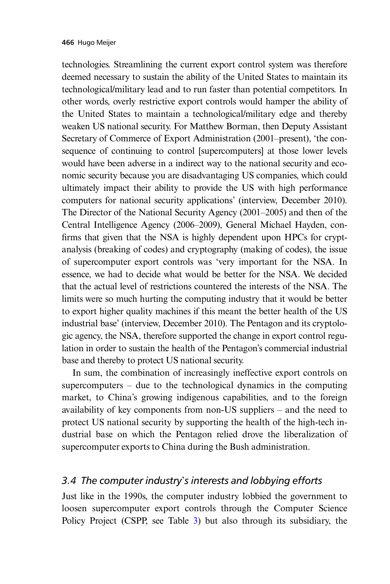technologies. Streamlining the current export control system was therefore deemed necessary to sustain the ability of the United States to maintain its technological/military lead and to run faster than potential competitors. In other words, overly restrictive export controls would hamper the ability of the United States to maintain a technological/military edge and thereby weaken US national security. For Matthew Borman, then Deputy Assistant Secretary of Commerce of Export Administration (2001–present), 'the consequence of continuing to control [supercomputers] at those lower levels would have been adverse in a indirect way to the national security and economic security because you are disadvantaging US companies, which could ultimately impact their ability to provide the US with high performance computers for national security applications' (interview, December 2010). The Director of the National Security Agency (2001–2005) and then of the Central Intelligence Agency (2006–2009), General Michael Hayden, confirms that given that the NSA is highly dependent upon HPCs for cryptanalysis (breaking of codes) and cryptography (making of codes), the issue of supercomputer export controls was 'very important for the NSA. In essence, we had to decide what would be better for the NSA. We decided that the actual level of restrictions countered the interests of the NSA. The limits were so much hurting the computing industry that it would be better to export higher quality machines if this meant the better health of the US industrial base' (interview, December 2010). The Pentagon and its cryptologic agency, the NSA, therefore supported the change in export control regulation in order to sustain the health of the Pentagon's commercial industrial base and thereby to protect US national security.

In sum, the combination of increasingly ineffective export controls on supercomputers – due to the technological dynamics in the computing market, to China's growing indigenous capabilities, and to the foreign availability of key components from non-US suppliers – and the need to protect US national security by supporting the health of the high-tech industrial base on which the Pentagon relied drove the liberalization of supercomputer exports to China during the Bush administration.

### 3.4 The computer industry's interests and lobbying efforts

Just like in the 1990s, the computer industry lobbied the government to loosen supercomputer export controls through the Computer Science Policy Project (CSPP, see Table 3) but also through its subsidiary, the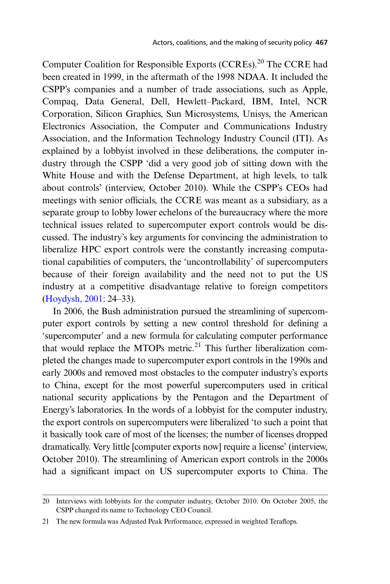Computer Coalition for Responsible Exports (CCREs).<sup>20</sup> The CCRE had been created in 1999, in the aftermath of the 1998 NDAA. It included the CSPP's companies and a number of trade associations, such as Apple, Compaq, Data General, Dell, Hewlett–Packard, IBM, Intel, NCR Corporation, Silicon Graphics, Sun Microsystems, Unisys, the American Electronics Association, the Computer and Communications Industry Association, and the Information Technology Industry Council (ITI). As explained by a lobbyist involved in these deliberations, the computer industry through the CSPP 'did a very good job of sitting down with the White House and with the Defense Department, at high levels, to talk about controls' (interview, October 2010). While the CSPP's CEOs had meetings with senior officials, the CCRE was meant as a subsidiary, as a separate group to lobby lower echelons of the bureaucracy where the more technical issues related to supercomputer export controls would be discussed. The industry's key arguments for convincing the administration to liberalize HPC export controls were the constantly increasing computational capabilities of computers, the 'uncontrollability' of supercomputers because of their foreign availability and the need not to put the US industry at a competitive disadvantage relative to foreign competitors (Hoydysh, 2001: 24–33).

In 2006, the Bush administration pursued the streamlining of supercomputer export controls by setting a new control threshold for defining a 'supercomputer' and a new formula for calculating computer performance that would replace the MTOPs metric.<sup>21</sup> This further liberalization completed the changes made to supercomputer export controls in the 1990s and early 2000s and removed most obstacles to the computer industry's exports to China, except for the most powerful supercomputers used in critical national security applications by the Pentagon and the Department of Energy's laboratories. In the words of a lobbyist for the computer industry, the export controls on supercomputers were liberalized 'to such a point that it basically took care of most of the licenses; the number of licenses dropped dramatically. Very little [computer exports now] require a license' (interview, October 2010). The streamlining of American export controls in the 2000s had a significant impact on US supercomputer exports to China. The

<sup>20</sup> Interviews with lobbyists for the computer industry, October 2010. On October 2005, the CSPP changed its name to Technology CEO Council.

<sup>21</sup> The new formula was Adjusted Peak Performance, expressed in weighted Teraflops.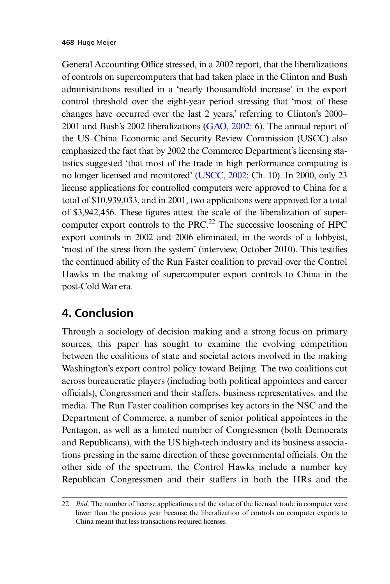General Accounting Office stressed, in a 2002 report, that the liberalizations of controls on supercomputers that had taken place in the Clinton and Bush administrations resulted in a 'nearly thousandfold increase' in the export control threshold over the eight-year period stressing that 'most of these changes have occurred over the last 2 years,' referring to Clinton's 2000– 2001 and Bush's 2002 liberalizations (GAO, 2002: 6). The annual report of the US–China Economic and Security Review Commission (USCC) also emphasized the fact that by 2002 the Commerce Department's licensing statistics suggested 'that most of the trade in high performance computing is no longer licensed and monitored' (USCC, 2002: Ch. 10). In 2000, only 23 license applications for controlled computers were approved to China for a total of \$10,939,033, and in 2001, two applications were approved for a total of \$3,942,456. These figures attest the scale of the liberalization of supercomputer export controls to the PRC.<sup>22</sup> The successive loosening of HPC export controls in 2002 and 2006 eliminated, in the words of a lobbyist, 'most of the stress from the system' (interview, October 2010). This testifies the continued ability of the Run Faster coalition to prevail over the Control Hawks in the making of supercomputer export controls to China in the post-Cold War era.

# 4. Conclusion

Through a sociology of decision making and a strong focus on primary sources, this paper has sought to examine the evolving competition between the coalitions of state and societal actors involved in the making Washington's export control policy toward Beijing. The two coalitions cut across bureaucratic players (including both political appointees and career officials), Congressmen and their staffers, business representatives, and the media. The Run Faster coalition comprises key actors in the NSC and the Department of Commerce, a number of senior political appointees in the Pentagon, as well as a limited number of Congressmen (both Democrats and Republicans), with the US high-tech industry and its business associations pressing in the same direction of these governmental officials. On the other side of the spectrum, the Control Hawks include a number key Republican Congressmen and their staffers in both the HRs and the

<sup>22</sup> *Ibid.* The number of license applications and the value of the licensed trade in computer were lower than the previous year because the liberalization of controls on computer exports to China meant that less transactions required licenses.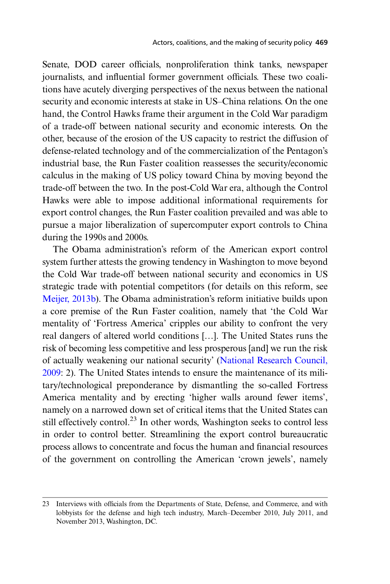Senate, DOD career officials, nonproliferation think tanks, newspaper journalists, and influential former government officials. These two coalitions have acutely diverging perspectives of the nexus between the national security and economic interests at stake in US–China relations. On the one hand, the Control Hawks frame their argument in the Cold War paradigm of a trade-off between national security and economic interests. On the other, because of the erosion of the US capacity to restrict the diffusion of defense-related technology and of the commercialization of the Pentagon's industrial base, the Run Faster coalition reassesses the security/economic calculus in the making of US policy toward China by moving beyond the trade-off between the two. In the post-Cold War era, although the Control Hawks were able to impose additional informational requirements for export control changes, the Run Faster coalition prevailed and was able to pursue a major liberalization of supercomputer export controls to China during the 1990s and 2000s.

The Obama administration's reform of the American export control system further attests the growing tendency in Washington to move beyond the Cold War trade-off between national security and economics in US strategic trade with potential competitors (for details on this reform, see Meijer, 2013b). The Obama administration's reform initiative builds upon a core premise of the Run Faster coalition, namely that 'the Cold War mentality of 'Fortress America' cripples our ability to confront the very real dangers of altered world conditions […]. The United States runs the risk of becoming less competitive and less prosperous [and] we run the risk of actually weakening our national security' (National Research Council, 2009: 2). The United States intends to ensure the maintenance of its military/technological preponderance by dismantling the so-called Fortress America mentality and by erecting 'higher walls around fewer items', namely on a narrowed down set of critical items that the United States can still effectively control.<sup>23</sup> In other words, Washington seeks to control less in order to control better. Streamlining the export control bureaucratic process allows to concentrate and focus the human and financial resources of the government on controlling the American 'crown jewels', namely

<sup>23</sup> Interviews with officials from the Departments of State, Defense, and Commerce, and with lobbyists for the defense and high tech industry, March–December 2010, July 2011, and November 2013, Washington, DC.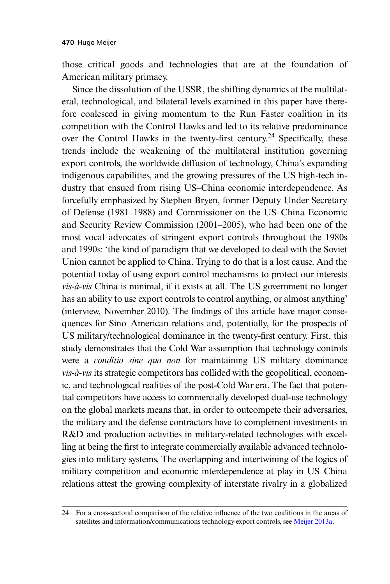those critical goods and technologies that are at the foundation of American military primacy.

Since the dissolution of the USSR, the shifting dynamics at the multilateral, technological, and bilateral levels examined in this paper have therefore coalesced in giving momentum to the Run Faster coalition in its competition with the Control Hawks and led to its relative predominance over the Control Hawks in the twenty-first century.<sup>24</sup> Specifically, these trends include the weakening of the multilateral institution governing export controls, the worldwide diffusion of technology, China's expanding indigenous capabilities, and the growing pressures of the US high-tech industry that ensued from rising US–China economic interdependence. As forcefully emphasized by Stephen Bryen, former Deputy Under Secretary of Defense (1981–1988) and Commissioner on the US–China Economic and Security Review Commission (2001–2005), who had been one of the most vocal advocates of stringent export controls throughout the 1980s and 1990s: 'the kind of paradigm that we developed to deal with the Soviet Union cannot be applied to China. Trying to do that is a lost cause. And the potential today of using export control mechanisms to protect our interests vis-à-vis China is minimal, if it exists at all. The US government no longer has an ability to use export controls to control anything, or almost anything' (interview, November 2010). The findings of this article have major consequences for Sino–American relations and, potentially, for the prospects of US military/technological dominance in the twenty-first century. First, this study demonstrates that the Cold War assumption that technology controls were a conditio sine qua non for maintaining US military dominance vis-à-vis its strategic competitors has collided with the geopolitical, economic, and technological realities of the post-Cold War era. The fact that potential competitors have access to commercially developed dual-use technology on the global markets means that, in order to outcompete their adversaries, the military and the defense contractors have to complement investments in R&D and production activities in military-related technologies with excelling at being the first to integrate commercially available advanced technologies into military systems. The overlapping and intertwining of the logics of military competition and economic interdependence at play in US–China relations attest the growing complexity of interstate rivalry in a globalized

<sup>24</sup> For a cross-sectoral comparison of the relative influence of the two coalitions in the areas of satellites and information/communications technology export controls, see Meijer 2013a.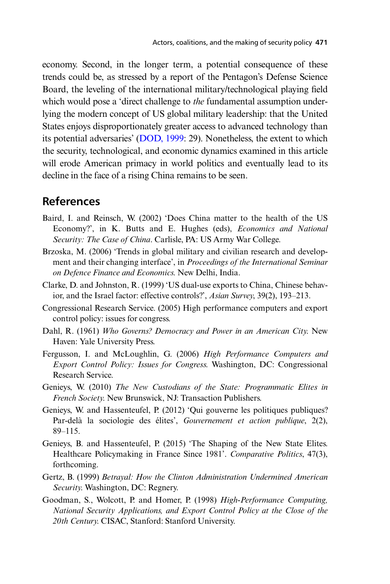economy. Second, in the longer term, a potential consequence of these trends could be, as stressed by a report of the Pentagon's Defense Science Board, the leveling of the international military/technological playing field which would pose a 'direct challenge to *the* fundamental assumption underlying the modern concept of US global military leadership: that the United States enjoys disproportionately greater access to advanced technology than its potential adversaries' (DOD, 1999: 29). Nonetheless, the extent to which the security, technological, and economic dynamics examined in this article will erode American primacy in world politics and eventually lead to its decline in the face of a rising China remains to be seen.

### References

- Baird, I. and Reinsch, W. (2002) 'Does China matter to the health of the US Economy?', in K. Butts and E. Hughes (eds), Economics and National Security: The Case of China. Carlisle, PA: US Army War College.
- Brzoska, M. (2006) 'Trends in global military and civilian research and development and their changing interface', in Proceedings of the International Seminar on Defence Finance and Economics. New Delhi, India.
- Clarke, D. and Johnston, R. (1999) 'US dual-use exports to China, Chinese behavior, and the Israel factor: effective controls?', Asian Survey, 39(2), 193–213.
- Congressional Research Service. (2005) High performance computers and export control policy: issues for congress.
- Dahl, R. (1961) Who Governs? Democracy and Power in an American City. New Haven: Yale University Press.
- Fergusson, I. and McLoughlin, G. (2006) High Performance Computers and Export Control Policy: Issues for Congress. Washington, DC: Congressional Research Service.
- Genieys, W. (2010) The New Custodians of the State: Programmatic Elites in French Society. New Brunswick, NJ: Transaction Publishers.
- Genieys, W. and Hassenteufel, P. (2012) 'Qui gouverne les politiques publiques? Par-delà la sociologie des élites', Gouvernement et action publique, 2(2), 89–115.
- Genieys, B. and Hassenteufel, P. (2015) 'The Shaping of the New State Elites. Healthcare Policymaking in France Since 1981'. Comparative Politics, 47(3), forthcoming.
- Gertz, B. (1999) Betrayal: How the Clinton Administration Undermined American Security. Washington, DC: Regnery.
- Goodman, S., Wolcott, P. and Homer, P. (1998) High-Performance Computing, National Security Applications, and Export Control Policy at the Close of the 20th Century. CISAC, Stanford: Stanford University.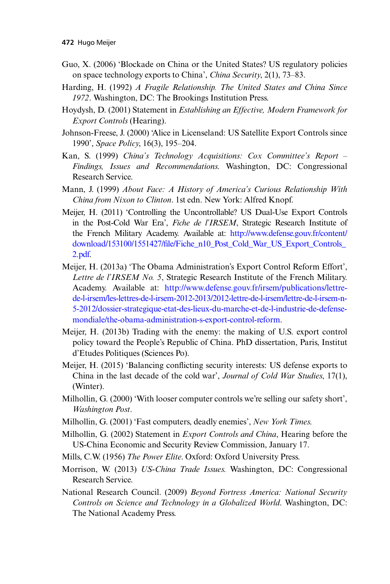- Guo, X. (2006) 'Blockade on China or the United States? US regulatory policies on space technology exports to China', China Security, 2(1), 73–83.
- Harding, H. (1992) A Fragile Relationship. The United States and China Since 1972. Washington, DC: The Brookings Institution Press.
- Hoydysh, D. (2001) Statement in Establishing an Effective, Modern Framework for Export Controls (Hearing).
- Johnson-Freese, J. (2000) 'Alice in Licenseland: US Satellite Export Controls since 1990', Space Policy, 16(3), 195–204.
- Kan, S. (1999) China's Technology Acquisitions: Cox Committee's Report Findings, Issues and Recommendations. Washington, DC: Congressional Research Service.
- Mann, J. (1999) About Face: A History of America's Curious Relationship With China from Nixon to Clinton. 1st edn. New York: Alfred Knopf.
- Meijer, H. (2011) 'Controlling the Uncontrollable? US Dual-Use Export Controls in the Post-Cold War Era', Fiche de l'IRSEM, Strategic Research Institute of the French Military Academy. Available at: [http://www.defense.gouv.fr/content/](http://www.defense.gouv.fr/content/download/153100/1551427/file/Fiche_n10_Post_Cold_War_US_Export_Controls_2.pdf) download/153100/1551427/fi[le/Fiche\\_n10\\_Post\\_Cold\\_War\\_US\\_Export\\_Controls\\_](http://www.defense.gouv.fr/content/download/153100/1551427/file/Fiche_n10_Post_Cold_War_US_Export_Controls_2.pdf) [2.pdf.](http://www.defense.gouv.fr/content/download/153100/1551427/file/Fiche_n10_Post_Cold_War_US_Export_Controls_2.pdf)
- Meijer, H. (2013a) 'The Obama Administration's Export Control Reform Effort', Lettre de l'IRSEM No. 5, Strategic Research Institute of the French Military. Academy. Available at: [http://www.defense.gouv.fr/irsem/publications/lettre](http://www.defense.gouv.fr/irsem/publications/lettre-de-l-irsem/les-lettres-de-l-irsem-2012-2013/2012-lettre-de-l-irsem/lettre-de-l-irsem-n-5-2012/dossier-strategique-etat-des-lieux-du-marche-et-de-l-industrie-de-defense-mondiale/the-obama-administration-s-export-control-reform)[de-l-irsem/les-lettres-de-l-irsem-2012-2013/2012-lettre-de-l-irsem/lettre-de-l-irsem-n-](http://www.defense.gouv.fr/irsem/publications/lettre-de-l-irsem/les-lettres-de-l-irsem-2012-2013/2012-lettre-de-l-irsem/lettre-de-l-irsem-n-5-2012/dossier-strategique-etat-des-lieux-du-marche-et-de-l-industrie-de-defense-mondiale/the-obama-administration-s-export-control-reform)[5-2012/dossier-strategique-etat-des-lieux-du-marche-et-de-l-industrie-de-defense](http://www.defense.gouv.fr/irsem/publications/lettre-de-l-irsem/les-lettres-de-l-irsem-2012-2013/2012-lettre-de-l-irsem/lettre-de-l-irsem-n-5-2012/dossier-strategique-etat-des-lieux-du-marche-et-de-l-industrie-de-defense-mondiale/the-obama-administration-s-export-control-reform)[mondiale/the-obama-administration-s-export-control-reform.](http://www.defense.gouv.fr/irsem/publications/lettre-de-l-irsem/les-lettres-de-l-irsem-2012-2013/2012-lettre-de-l-irsem/lettre-de-l-irsem-n-5-2012/dossier-strategique-etat-des-lieux-du-marche-et-de-l-industrie-de-defense-mondiale/the-obama-administration-s-export-control-reform)
- Meijer, H. (2013b) Trading with the enemy: the making of U.S. export control policy toward the People's Republic of China. PhD dissertation, Paris, Institut d'Etudes Politiques (Sciences Po).
- Meijer, H. (2015) 'Balancing conflicting security interests: US defense exports to China in the last decade of the cold war', Journal of Cold War Studies, 17(1), (Winter).
- Milhollin, G. (2000) 'With looser computer controls we're selling our safety short', Washington Post.
- Milhollin, G. (2001) 'Fast computers, deadly enemies', New York Times.
- Milhollin, G. (2002) Statement in *Export Controls and China*, Hearing before the US-China Economic and Security Review Commission, January 17.
- Mills, C.W. (1956) The Power Elite. Oxford: Oxford University Press.
- Morrison, W. (2013) US-China Trade Issues. Washington, DC: Congressional Research Service.
- National Research Council. (2009) Beyond Fortress America: National Security Controls on Science and Technology in a Globalized World. Washington, DC: The National Academy Press.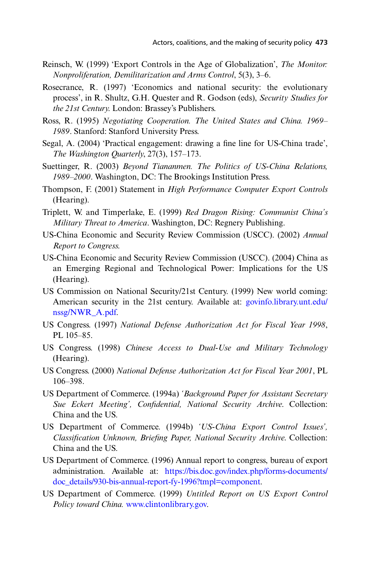- Reinsch, W. (1999) 'Export Controls in the Age of Globalization', The Monitor: Nonproliferation, Demilitarization and Arms Control, 5(3), 3–6.
- Rosecrance, R. (1997) 'Economics and national security: the evolutionary process', in R. Shultz, G.H. Quester and R. Godson (eds), Security Studies for the 21st Century. London: Brassey's Publishers.
- Ross, R. (1995) Negotiating Cooperation. The United States and China. 1969– 1989. Stanford: Stanford University Press.
- Segal, A. (2004) 'Practical engagement: drawing a fine line for US-China trade', The Washington Quarterly, 27(3), 157–173.
- Suettinger, R. (2003) Beyond Tiananmen. The Politics of US-China Relations, 1989–2000. Washington, DC: The Brookings Institution Press.
- Thompson, F. (2001) Statement in High Performance Computer Export Controls (Hearing).
- Triplett, W. and Timperlake, E. (1999) Red Dragon Rising: Communist China's Military Threat to America. Washington, DC: Regnery Publishing.
- US-China Economic and Security Review Commission (USCC). (2002) Annual Report to Congress.
- US-China Economic and Security Review Commission (USCC). (2004) China as an Emerging Regional and Technological Power: Implications for the US (Hearing).
- US Commission on National Security/21st Century. (1999) New world coming: American security in the 21st century. Available at: [govinfo.library.unt.edu/](govinfo.library.unt.edu/nssg/NWR_A.pdf) [nssg/NWR\\_A.pdf.](govinfo.library.unt.edu/nssg/NWR_A.pdf)
- US Congress. (1997) National Defense Authorization Act for Fiscal Year 1998, PL 105–85.
- US Congress. (1998) Chinese Access to Dual-Use and Military Technology (Hearing).
- US Congress. (2000) National Defense Authorization Act for Fiscal Year 2001, PL 106–398.
- US Department of Commerce. (1994a) 'Background Paper for Assistant Secretary Sue Eckert Meeting', Confidential, National Security Archive. Collection: China and the US.
- US Department of Commerce. (1994b) 'US-China Export Control Issues', Classification Unknown, Briefing Paper, National Security Archive. Collection: China and the US.
- US Department of Commerce. (1996) Annual report to congress, bureau of export administration. Available at: [https://bis.doc.gov/index.php/forms-documents/](https://bis.doc.gov/index.php/forms-documents/doc_details/930-bis-annual-report-fy-1996?tmpl=component) [doc\\_details/930-bis-annual-report-fy-1996?tmpl=component](https://bis.doc.gov/index.php/forms-documents/doc_details/930-bis-annual-report-fy-1996?tmpl=component).
- US Department of Commerce. (1999) Untitled Report on US Export Control Policy toward China. [www.clintonlibrary.gov.](www.clintonlibrary.gov)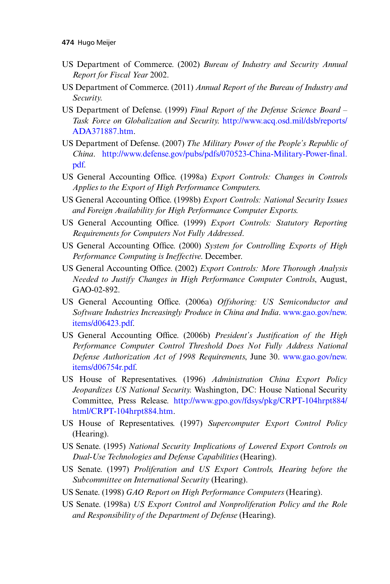- US Department of Commerce. (2002) Bureau of Industry and Security Annual Report for Fiscal Year 2002.
- US Department of Commerce. (2011) Annual Report of the Bureau of Industry and Security.
- US Department of Defense. (1999) Final Report of the Defense Science Board Task Force on Globalization and Security. [http://www.acq.osd.mil/dsb/reports/](http://www.acq.osd.mil/dsb/reports/ADA371887.htm) [ADA371887.htm](http://www.acq.osd.mil/dsb/reports/ADA371887.htm).
- US Department of Defense. (2007) The Military Power of the People's Republic of China. [http://www.defense.gov/pubs/pdfs/070523-China-Military-Power-](http://www.defense.gov/pubs/pdfs/070523-China-Military-Power-final.pdf)final. [pdf.](http://www.defense.gov/pubs/pdfs/070523-China-Military-Power-final.pdf)
- US General Accounting Office. (1998a) Export Controls: Changes in Controls Applies to the Export of High Performance Computers.
- US General Accounting Office. (1998b) Export Controls: National Security Issues and Foreign Availability for High Performance Computer Exports.
- US General Accounting Office. (1999) Export Controls: Statutory Reporting Requirements for Computers Not Fully Addressed.
- US General Accounting Office. (2000) System for Controlling Exports of High Performance Computing is Ineffective. December.
- US General Accounting Office. (2002) Export Controls: More Thorough Analysis Needed to Justify Changes in High Performance Computer Controls, August, GAO-02-892.
- US General Accounting Office. (2006a) Offshoring: US Semiconductor and Software Industries Increasingly Produce in China and India. [www.gao.gov/new.](www.gao.gov/new.items/d06423.pdf) [items/d06423.pdf.](www.gao.gov/new.items/d06423.pdf)
- US General Accounting Office. (2006b) President's Justification of the High Performance Computer Control Threshold Does Not Fully Address National Defense Authorization Act of 1998 Requirements, June 30. [www.gao.gov/new.](www.gao.gov/new.items/d06754r.pdf) [items/d06754r.pdf.](www.gao.gov/new.items/d06754r.pdf)
- US House of Representatives. (1996) Administration China Export Policy Jeopardizes US National Security. Washington, DC: House National Security Committee, Press Release. [http://www.gpo.gov/fdsys/pkg/CRPT-104hrpt884/](http://www.gpo.gov/fdsys/pkg/CRPT-104hrpt884/html/CRPT-104hrpt884.htm) [html/CRPT-104hrpt884.htm](http://www.gpo.gov/fdsys/pkg/CRPT-104hrpt884/html/CRPT-104hrpt884.htm).
- US House of Representatives. (1997) Supercomputer Export Control Policy (Hearing).
- US Senate. (1995) National Security Implications of Lowered Export Controls on Dual-Use Technologies and Defense Capabilities (Hearing).
- US Senate. (1997) Proliferation and US Export Controls, Hearing before the Subcommittee on International Security (Hearing).
- US Senate. (1998) GAO Report on High Performance Computers (Hearing).
- US Senate. (1998a) US Export Control and Nonproliferation Policy and the Role and Responsibility of the Department of Defense (Hearing).